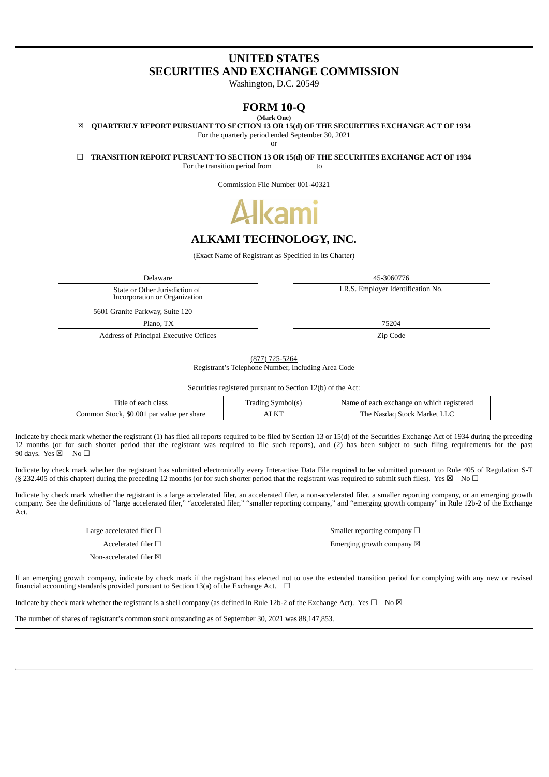# **UNITED STATES SECURITIES AND EXCHANGE COMMISSION**

Washington, D.C. 20549

### **FORM 10-Q (Mark One)**

☒ **QUARTERLY REPORT PURSUANT TO SECTION 13 OR 15(d) OF THE SECURITIES EXCHANGE ACT OF 1934**

For the quarterly period ended September 30, 2021

or

☐ **TRANSITION REPORT PURSUANT TO SECTION 13 OR 15(d) OF THE SECURITIES EXCHANGE ACT OF 1934**

For the transition period from  $\sim$  to

Commission File Number 001-40321



# **ALKAMI TECHNOLOGY, INC.**

(Exact Name of Registrant as Specified in its Charter)

State or Other Jurisdiction of Incorporation or Organization

5601 Granite Parkway, Suite 120

Plano, TX 75204

Address of Principal Executive Offices **Zip Code** 

Delaware 45-3060776

I.R.S. Employer Identification No.

(877) 725-5264

Registrant's Telephone Number, Including Area Code

Securities registered pursuant to Section 12(b) of the Act:

| ritle of<br>class<br>' each                   | Symbol(s<br>Trading | t each exchange on which registered *<br>Name of |
|-----------------------------------------------|---------------------|--------------------------------------------------|
| 1 Stock, \$0.001 par value per share<br>ommon | $\Lambda\rm L K$ 7  | The<br>-Stock Market L<br>Nasdad                 |

Indicate by check mark whether the registrant (1) has filed all reports required to be filed by Section 13 or 15(d) of the Securities Exchange Act of 1934 during the preceding 12 months (or for such shorter period that the registrant was required to file such reports), and (2) has been subject to such filing requirements for the past 90 days. Yes  $\boxtimes$  No  $\Box$ 

Indicate by check mark whether the registrant has submitted electronically every Interactive Data File required to be submitted pursuant to Rule 405 of Regulation S-T (§ 232.405 of this chapter) during the preceding 12 months (or for such shorter period that the registrant was required to submit such files). Yes  $\boxtimes$  No  $\Box$ 

Indicate by check mark whether the registrant is a large accelerated filer, an accelerated filer, a non-accelerated filer, a smaller reporting company, or an emerging growth company. See the definitions of "large accelerated filer," "accelerated filer," "smaller reporting company," and "emerging growth company" in Rule 12b-2 of the Exchange Act.

Non-accelerated filer  $\boxtimes$ 

Large accelerated filer □ state of the state of the state of the Smaller reporting company □ Accelerated filer □ and the set of the set of the set of the set of the Emerging growth company ⊠

If an emerging growth company, indicate by check mark if the registrant has elected not to use the extended transition period for complying with any new or revised financial accounting standards provided pursuant to Section 13(a) of the Exchange Act.  $\Box$ 

Indicate by check mark whether the registrant is a shell company (as defined in Rule 12b-2 of the Exchange Act). Yes  $\Box$  No  $\boxtimes$ 

<span id="page-0-0"></span>The number of shares of registrant's common stock outstanding as of September 30, 2021 was 88,147,853.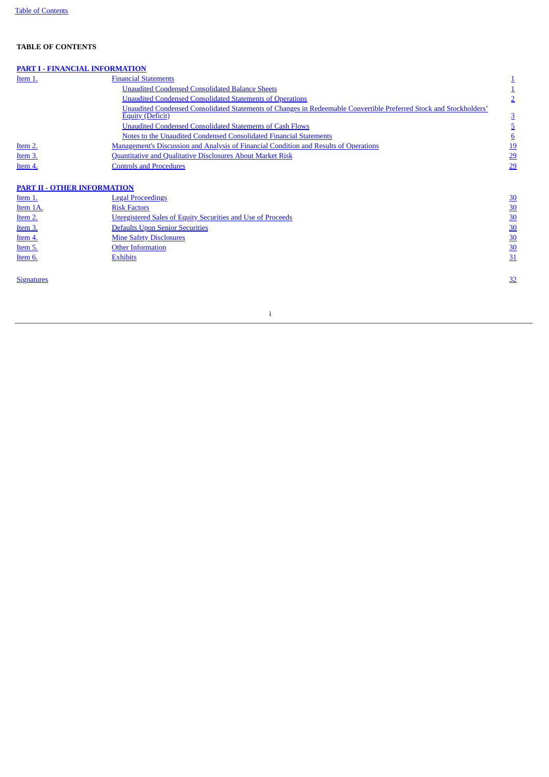# **TABLE OF CONTENTS**

# **[PART I ‑ FINANCIAL INFORMATION](#page-1-0)**

| Item 1.                            | <b>Financial Statements</b>                                                                                        |                 |
|------------------------------------|--------------------------------------------------------------------------------------------------------------------|-----------------|
|                                    | <b>Unaudited Condensed Consolidated Balance Sheets</b>                                                             |                 |
|                                    | <b>Unaudited Condensed Consolidated Statements of Operations</b>                                                   |                 |
|                                    | Unaudited Condensed Consolidated Statements of Changes in Redeemable Convertible Preferred Stock and Stockholders' |                 |
|                                    | <b>Equity (Deficit)</b>                                                                                            | 3               |
|                                    | <b>Unaudited Condensed Consolidated Statements of Cash Flows</b>                                                   |                 |
|                                    | Notes to the Unaudited Condensed Consolidated Financial Statements                                                 | 6               |
| <u>Item 2.</u>                     | Management's Discussion and Analysis of Financial Condition and Results of Operations                              | <u> 19</u>      |
| Item 3.                            | <b>Quantitative and Qualitative Disclosures About Market Risk</b>                                                  | $\overline{29}$ |
| Item 4.                            | <b>Controls and Procedures</b>                                                                                     | <u>29</u>       |
| <b>PART II - OTHER INFORMATION</b> |                                                                                                                    |                 |
| <u>Item 1.</u>                     | <b>Legal Proceedings</b>                                                                                           | 30              |
| Item 1A.                           | <b>Risk Factors</b>                                                                                                | 30              |

| цеш 1А.        | <b>RISK FACTORS</b>                                                |                 |
|----------------|--------------------------------------------------------------------|-----------------|
| <u>Item 2.</u> | <b>Unregistered Sales of Equity Securities and Use of Proceeds</b> |                 |
| <u>Item 3.</u> | <b>Defaults Upon Senior Securities</b>                             | $\overline{30}$ |
| <u>Item 4.</u> | <b>Mine Safety Disclosures</b>                                     |                 |
| <u>Item 5.</u> | <b>Other Information</b>                                           |                 |

<span id="page-1-0"></span>**[Signatures](#page-32-0)** [32](#page-32-0)

**[Item 6.](#page-31-6) [Exhibits](#page-31-6) Exhibits [31](#page-31-6)**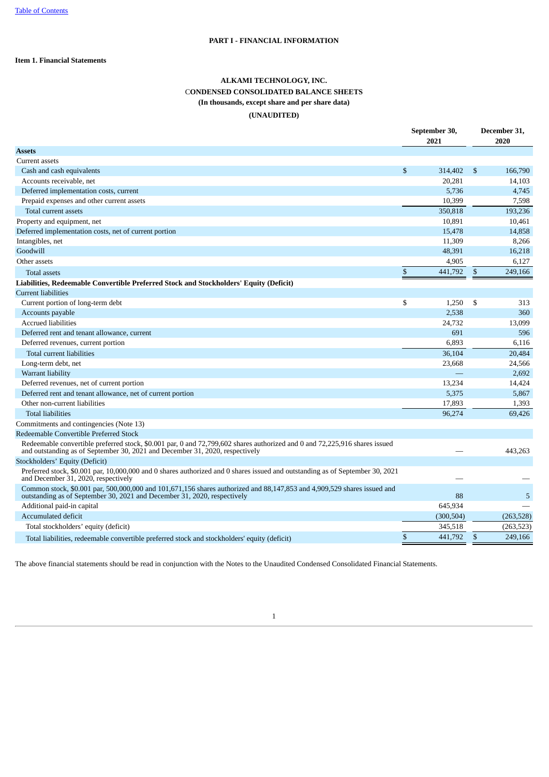# **PART I - FINANCIAL INFORMATION**

# <span id="page-2-1"></span><span id="page-2-0"></span>**Item 1. Financial Statements**

# **ALKAMI TECHNOLOGY, INC.** C**ONDENSED CONSOLIDATED BALANCE SHEETS (In thousands, except share and per share data) (UNAUDITED)**

|                                                                                                                                                                                                            | September 30,<br>2021 |            |    | December 31,<br>2020 |  |  |  |
|------------------------------------------------------------------------------------------------------------------------------------------------------------------------------------------------------------|-----------------------|------------|----|----------------------|--|--|--|
| <b>Assets</b>                                                                                                                                                                                              |                       |            |    |                      |  |  |  |
| Current assets                                                                                                                                                                                             |                       |            |    |                      |  |  |  |
| Cash and cash equivalents                                                                                                                                                                                  | \$                    | 314,402    | \$ | 166,790              |  |  |  |
| Accounts receivable, net                                                                                                                                                                                   |                       | 20,281     |    | 14,103               |  |  |  |
| Deferred implementation costs, current                                                                                                                                                                     |                       | 5,736      |    | 4,745                |  |  |  |
| Prepaid expenses and other current assets                                                                                                                                                                  |                       | 10,399     |    | 7,598                |  |  |  |
| Total current assets                                                                                                                                                                                       |                       | 350,818    |    | 193,236              |  |  |  |
| Property and equipment, net                                                                                                                                                                                |                       | 10,891     |    | 10,461               |  |  |  |
| Deferred implementation costs, net of current portion                                                                                                                                                      |                       | 15,478     |    | 14,858               |  |  |  |
| Intangibles, net                                                                                                                                                                                           |                       | 11,309     |    | 8,266                |  |  |  |
| Goodwill                                                                                                                                                                                                   |                       | 48,391     |    | 16,218               |  |  |  |
| Other assets                                                                                                                                                                                               |                       | 4,905      |    | 6,127                |  |  |  |
| <b>Total assets</b>                                                                                                                                                                                        | \$                    | 441,792    | \$ | 249,166              |  |  |  |
| Liabilities, Redeemable Convertible Preferred Stock and Stockholders' Equity (Deficit)                                                                                                                     |                       |            |    |                      |  |  |  |
| <b>Current liabilities</b>                                                                                                                                                                                 |                       |            |    |                      |  |  |  |
| Current portion of long-term debt                                                                                                                                                                          | \$                    | 1,250      | \$ | 313                  |  |  |  |
| Accounts payable                                                                                                                                                                                           |                       | 2,538      |    | 360                  |  |  |  |
| <b>Accrued liabilities</b>                                                                                                                                                                                 |                       | 24,732     |    | 13,099               |  |  |  |
| Deferred rent and tenant allowance, current                                                                                                                                                                |                       | 691        |    | 596                  |  |  |  |
| Deferred revenues, current portion                                                                                                                                                                         |                       | 6,893      |    | 6,116                |  |  |  |
| <b>Total current liabilities</b>                                                                                                                                                                           |                       | 36,104     |    | 20,484               |  |  |  |
| Long-term debt, net                                                                                                                                                                                        |                       | 23,668     |    | 24,566               |  |  |  |
| Warrant liability                                                                                                                                                                                          |                       |            |    | 2,692                |  |  |  |
| Deferred revenues, net of current portion                                                                                                                                                                  |                       | 13,234     |    | 14,424               |  |  |  |
| Deferred rent and tenant allowance, net of current portion                                                                                                                                                 |                       | 5,375      |    | 5,867                |  |  |  |
| Other non-current liabilities                                                                                                                                                                              |                       | 17,893     |    | 1,393                |  |  |  |
| <b>Total liabilities</b>                                                                                                                                                                                   |                       | 96,274     |    | 69,426               |  |  |  |
| Commitments and contingencies (Note 13)                                                                                                                                                                    |                       |            |    |                      |  |  |  |
| Redeemable Convertible Preferred Stock                                                                                                                                                                     |                       |            |    |                      |  |  |  |
| Redeemable convertible preferred stock, \$0.001 par, 0 and 72,799,602 shares authorized and 0 and 72,225,916 shares issued<br>and outstanding as of September 30, 2021 and December 31, 2020, respectively |                       |            |    | 443,263              |  |  |  |
| Stockholders' Equity (Deficit)                                                                                                                                                                             |                       |            |    |                      |  |  |  |
| Preferred stock, \$0.001 par, 10,000,000 and 0 shares authorized and 0 shares issued and outstanding as of September 30, 2021<br>and December 31, 2020, respectively                                       |                       |            |    |                      |  |  |  |
| Common stock, \$0.001 par, 500,000,000 and 101,671,156 shares authorized and 88,147,853 and 4,909,529 shares issued and<br>outstanding as of September 30, 2021 and December 31, 2020, respectively        |                       | 88         |    | 5                    |  |  |  |
| Additional paid-in capital                                                                                                                                                                                 |                       | 645,934    |    |                      |  |  |  |
| <b>Accumulated deficit</b>                                                                                                                                                                                 |                       | (300, 504) |    | (263, 528)           |  |  |  |
| Total stockholders' equity (deficit)                                                                                                                                                                       |                       | 345,518    |    | (263, 523)           |  |  |  |
| Total liabilities, redeemable convertible preferred stock and stockholders' equity (deficit)                                                                                                               | \$                    | 441,792    | \$ | 249,166              |  |  |  |

<span id="page-2-2"></span>The above financial statements should be read in conjunction with the Notes to the Unaudited Condensed Consolidated Financial Statements.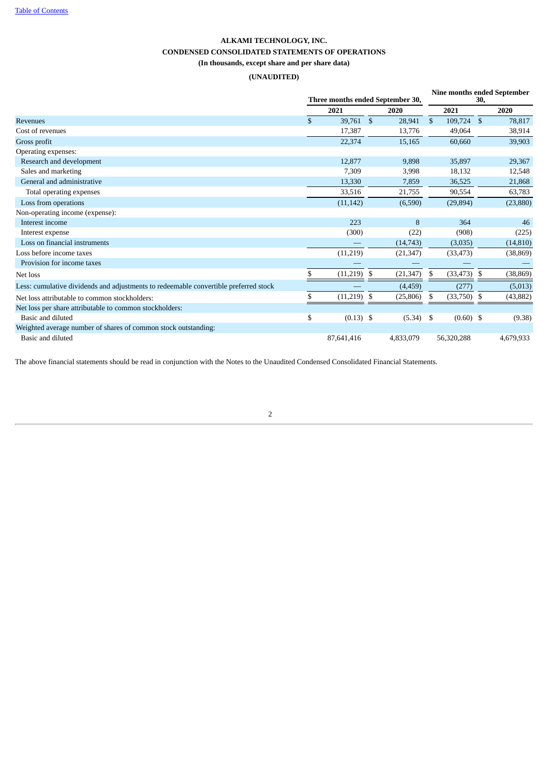# **ALKAMI TECHNOLOGY, INC. CONDENSED CONSOLIDATED STATEMENTS OF OPERATIONS (In thousands, except share and per share data)**

# **(UNAUDITED)**

|                                                                                      |              | Three months ended September 30, |                |             |              | <b>Nine months ended September</b><br>30. |                |           |
|--------------------------------------------------------------------------------------|--------------|----------------------------------|----------------|-------------|--------------|-------------------------------------------|----------------|-----------|
|                                                                                      |              | 2021                             |                | 2020        |              | 2021                                      |                | 2020      |
| Revenues                                                                             | $\mathbb{S}$ | 39,761                           | $\mathfrak{F}$ | 28,941      | $\mathbb{S}$ | 109,724                                   | $\mathfrak{S}$ | 78,817    |
| Cost of revenues                                                                     |              | 17,387                           |                | 13,776      |              | 49,064                                    |                | 38,914    |
| Gross profit                                                                         |              | 22,374                           |                | 15,165      |              | 60,660                                    |                | 39,903    |
| Operating expenses:                                                                  |              |                                  |                |             |              |                                           |                |           |
| Research and development                                                             |              | 12,877                           |                | 9,898       |              | 35,897                                    |                | 29,367    |
| Sales and marketing                                                                  |              | 7,309                            |                | 3,998       |              | 18,132                                    |                | 12,548    |
| General and administrative                                                           |              | 13,330                           |                | 7,859       |              | 36,525                                    |                | 21,868    |
| Total operating expenses                                                             |              | 33,516                           |                | 21,755      |              | 90,554                                    |                | 63,783    |
| Loss from operations                                                                 |              | (11, 142)                        |                | (6,590)     |              | (29, 894)                                 |                | (23, 880) |
| Non-operating income (expense):                                                      |              |                                  |                |             |              |                                           |                |           |
| Interest income                                                                      |              | 223                              |                | 8           |              | 364                                       |                | 46        |
| Interest expense                                                                     |              | (300)                            |                | (22)        |              | (908)                                     |                | (225)     |
| Loss on financial instruments                                                        |              |                                  |                | (14,743)    |              | (3,035)                                   |                | (14, 810) |
| Loss before income taxes                                                             |              | (11,219)                         |                | (21, 347)   |              | (33, 473)                                 |                | (38, 869) |
| Provision for income taxes                                                           |              |                                  |                |             |              |                                           |                |           |
| Net loss                                                                             | \$           | (11,219)                         | \$             | (21, 347)   | \$           | (33, 473)                                 | \$             | (38, 869) |
| Less: cumulative dividends and adjustments to redeemable convertible preferred stock |              |                                  |                | (4, 459)    |              | (277)                                     |                | (5,013)   |
| Net loss attributable to common stockholders:                                        | \$           | (11,219)                         | \$             | (25,806)    | \$           | (33,750)                                  | \$             | (43, 882) |
| Net loss per share attributable to common stockholders:                              |              |                                  |                |             |              |                                           |                |           |
| Basic and diluted                                                                    | \$           | $(0.13)$ \$                      |                | $(5.34)$ \$ |              | $(0.60)$ \$                               |                | (9.38)    |
| Weighted average number of shares of common stock outstanding:                       |              |                                  |                |             |              |                                           |                |           |
| Basic and diluted                                                                    |              | 87,641,416                       |                | 4,833,079   |              | 56,320,288                                |                | 4,679,933 |

<span id="page-3-0"></span>The above financial statements should be read in conjunction with the Notes to the Unaudited Condensed Consolidated Financial Statements.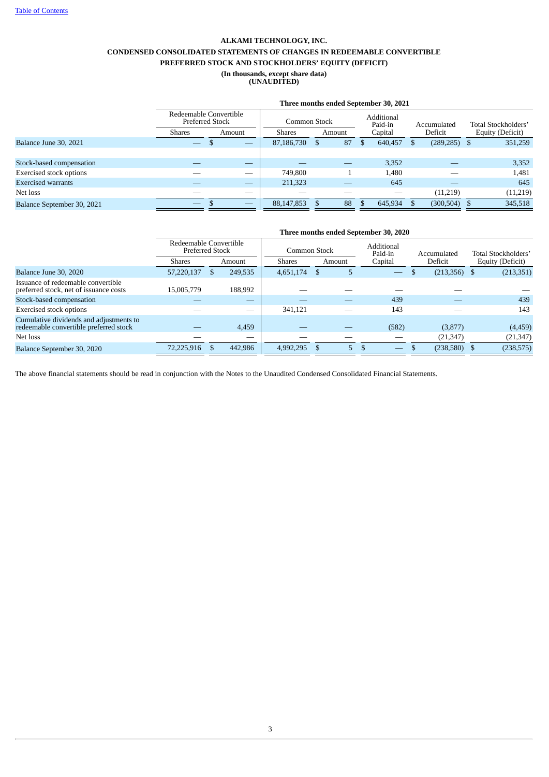# **ALKAMI TECHNOLOGY, INC. CONDENSED CONSOLIDATED STATEMENTS OF CHANGES IN REDEEMABLE CONVERTIBLE PREFERRED STOCK AND STOCKHOLDERS' EQUITY (DEFICIT) (In thousands, except share data) (UNAUDITED)**

|                                |                        | Three months ended September 30, 2021 |               |        |  |                       |             |                 |                     |  |  |  |  |  |  |
|--------------------------------|------------------------|---------------------------------------|---------------|--------|--|-----------------------|-------------|-----------------|---------------------|--|--|--|--|--|--|
|                                | <b>Preferred Stock</b> | Redeemable Convertible                | Common Stock  |        |  | Additional<br>Paid-in | Accumulated |                 | Total Stockholders' |  |  |  |  |  |  |
|                                | Shares                 | Amount                                | <b>Shares</b> | Amount |  | Capital               | Deficit     |                 | Equity (Deficit)    |  |  |  |  |  |  |
| Balance June 30, 2021          |                        |                                       | 87,186,730    | 87     |  | 640,457               | (289, 285)  | 351,259<br>- \$ |                     |  |  |  |  |  |  |
|                                |                        |                                       |               |        |  |                       |             |                 |                     |  |  |  |  |  |  |
| Stock-based compensation       |                        | —                                     |               |        |  | 3,352                 |             |                 | 3,352               |  |  |  |  |  |  |
| <b>Exercised stock options</b> |                        | __                                    | 749.800       |        |  | 1,480                 |             |                 | 1,481               |  |  |  |  |  |  |
| <b>Exercised</b> warrants      |                        |                                       | 211,323       |        |  | 645                   |             |                 | 645                 |  |  |  |  |  |  |
| Net loss                       |                        |                                       |               |        |  |                       | (11,219)    |                 | (11,219)            |  |  |  |  |  |  |
| Balance September 30, 2021     |                        | _                                     | 88,147,853    | 88     |  | 645,934               | (300, 504)  |                 | 345,518             |  |  |  |  |  |  |

|                                                                                   |               | Three months ended September 30, 2020            |         |               |              |        |                          |  |                |  |                     |  |  |  |  |
|-----------------------------------------------------------------------------------|---------------|--------------------------------------------------|---------|---------------|--------------|--------|--------------------------|--|----------------|--|---------------------|--|--|--|--|
|                                                                                   |               | Redeemable Convertible<br><b>Preferred Stock</b> |         |               | Common Stock |        |                          |  | Accumulated    |  | Total Stockholders' |  |  |  |  |
|                                                                                   | <b>Shares</b> |                                                  | Amount  | <b>Shares</b> |              | Amount | Capital                  |  | Deficit        |  | Equity (Deficit)    |  |  |  |  |
| Balance June 30, 2020                                                             | 57,220,137    | \$.                                              | 249,535 | 4,651,174     | - \$         | 5      | $\overline{\phantom{0}}$ |  | $(213,356)$ \$ |  | (213, 351)          |  |  |  |  |
| Issuance of redeemable convertible<br>preferred stock, net of issuance costs      | 15,005,779    |                                                  | 188,992 |               |              |        |                          |  |                |  |                     |  |  |  |  |
| Stock-based compensation                                                          |               |                                                  |         |               |              |        | 439                      |  |                |  | 439                 |  |  |  |  |
| <b>Exercised stock options</b>                                                    |               |                                                  | ---     | 341.121       |              |        | 143                      |  |                |  | 143                 |  |  |  |  |
| Cumulative dividends and adjustments to<br>redeemable convertible preferred stock |               |                                                  | 4,459   |               |              |        | (582)                    |  | (3,877)        |  | (4,459)             |  |  |  |  |
| Net loss                                                                          |               |                                                  |         |               |              |        |                          |  | (21, 347)      |  | (21, 347)           |  |  |  |  |
| Balance September 30, 2020                                                        | 72,225,916    |                                                  | 442,986 | 4,992,295     |              | 5      | \$<br>—                  |  | (238, 580)     |  | (238, 575)          |  |  |  |  |

The above financial statements should be read in conjunction with the Notes to the Unaudited Condensed Consolidated Financial Statements.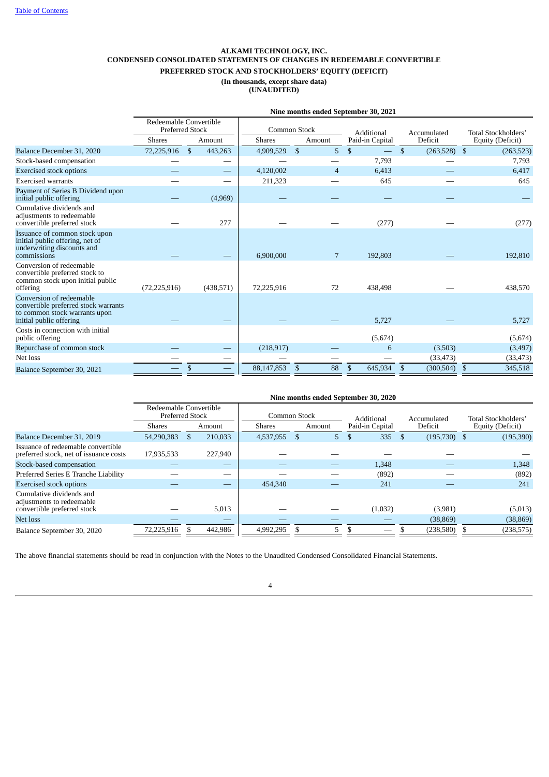# **ALKAMI TECHNOLOGY, INC. CONDENSED CONSOLIDATED STATEMENTS OF CHANGES IN REDEEMABLE CONVERTIBLE PREFERRED STOCK AND STOCKHOLDERS' EQUITY (DEFICIT)**

# **(In thousands, except share data)**

**(UNAUDITED)**

|                                                                                                                              |                                                  |    |            |                     |              |                | Nine months ended September 30, 2021 |                      |                     |                  |
|------------------------------------------------------------------------------------------------------------------------------|--------------------------------------------------|----|------------|---------------------|--------------|----------------|--------------------------------------|----------------------|---------------------|------------------|
|                                                                                                                              | Redeemable Convertible<br><b>Preferred Stock</b> |    |            | <b>Common Stock</b> |              | Additional     | Accumulated                          |                      | Total Stockholders' |                  |
|                                                                                                                              | <b>Shares</b>                                    |    | Amount     | <b>Shares</b>       |              | Amount         | Paid-in Capital                      | Deficit              |                     | Equity (Deficit) |
| Balance December 31, 2020                                                                                                    | 72,225,916                                       | S. | 443,263    | 4,909,529           | $\mathbf{s}$ | 5              | $\mathbf{s}$                         | \$<br>$(263,528)$ \$ |                     | (263, 523)       |
| Stock-based compensation                                                                                                     |                                                  |    |            |                     |              |                | 7,793                                |                      |                     | 7,793            |
| <b>Exercised stock options</b>                                                                                               |                                                  |    |            | 4,120,002           |              | $\overline{4}$ | 6,413                                |                      |                     | 6,417            |
| <b>Exercised</b> warrants                                                                                                    |                                                  |    |            | 211,323             |              |                | 645                                  |                      |                     | 645              |
| Payment of Series B Dividend upon<br>initial public offering                                                                 |                                                  |    | (4,969)    |                     |              |                |                                      |                      |                     |                  |
| Cumulative dividends and<br>adjustments to redeemable<br>convertible preferred stock                                         |                                                  |    | 277        |                     |              |                | (277)                                |                      |                     | (277)            |
| Issuance of common stock upon<br>initial public offering, net of<br>underwriting discounts and<br>commissions                |                                                  |    |            | 6,900,000           |              | 7              | 192,803                              |                      |                     | 192,810          |
| Conversion of redeemable<br>convertible preferred stock to<br>common stock upon initial public<br>offering                   | (72, 225, 916)                                   |    | (438, 571) | 72,225,916          |              | 72             | 438,498                              |                      |                     | 438,570          |
| Conversion of redeemable<br>convertible preferred stock warrants<br>to common stock warrants upon<br>initial public offering |                                                  |    |            |                     |              |                | 5,727                                |                      |                     | 5,727            |
| Costs in connection with initial<br>public offering                                                                          |                                                  |    |            |                     |              |                | (5,674)                              |                      |                     | (5,674)          |
| Repurchase of common stock                                                                                                   |                                                  |    |            | (218,917)           |              |                | 6                                    | (3,503)              |                     | (3,497)          |
| Net loss                                                                                                                     |                                                  |    |            |                     |              |                |                                      | (33, 473)            |                     | (33, 473)        |
| Balance September 30, 2021                                                                                                   |                                                  | \$ | ۰          | 88,147,853          | \$           | 88             | 645,934<br>\$                        | \$<br>(300, 504)     | \$                  | 345,518          |

|                                                                              |                                                  | Nine months ended September 30, 2020 |         |               |  |            |                 |             |            |                     |                  |  |  |  |  |
|------------------------------------------------------------------------------|--------------------------------------------------|--------------------------------------|---------|---------------|--|------------|-----------------|-------------|------------|---------------------|------------------|--|--|--|--|
|                                                                              | Redeemable Convertible<br><b>Preferred Stock</b> |                                      |         | Common Stock  |  | Additional |                 | Accumulated |            | Total Stockholders' |                  |  |  |  |  |
|                                                                              | Shares                                           |                                      | Amount  | <b>Shares</b> |  | Amount     | Paid-in Capital |             | Deficit    |                     | Equity (Deficit) |  |  |  |  |
| Balance December 31, 2019                                                    | 54,290,383                                       |                                      | 210,033 | 4,537,955     |  | 5.         | 335<br>\$       |             | (195,730)  |                     | (195, 390)       |  |  |  |  |
| Issuance of redeemable convertible<br>preferred stock, net of issuance costs | 17,935,533                                       |                                      | 227,940 |               |  |            |                 |             |            |                     |                  |  |  |  |  |
| Stock-based compensation                                                     |                                                  |                                      | –       |               |  |            | 1,348           |             |            |                     | 1,348            |  |  |  |  |
| Preferred Series E Tranche Liability                                         |                                                  |                                      | –       |               |  |            | (892)           |             |            |                     | (892)            |  |  |  |  |
| <b>Exercised stock options</b>                                               |                                                  |                                      |         | 454,340       |  |            | 241             |             |            |                     | 241              |  |  |  |  |
| Cumulative dividends and<br>adjustments to redeemable                        |                                                  |                                      |         |               |  |            |                 |             |            |                     |                  |  |  |  |  |
| convertible preferred stock                                                  |                                                  |                                      | 5,013   |               |  |            | (1,032)         |             | (3,981)    |                     | (5,013)          |  |  |  |  |
| Net loss                                                                     |                                                  |                                      | _       |               |  |            |                 |             | (38, 869)  |                     | (38, 869)        |  |  |  |  |
| Balance September 30, 2020                                                   | 72,225,916                                       |                                      | 442,986 | 4,992,295     |  | 5          |                 |             | (238, 580) |                     | (238, 575)       |  |  |  |  |

<span id="page-5-0"></span>The above financial statements should be read in conjunction with the Notes to the Unaudited Condensed Consolidated Financial Statements.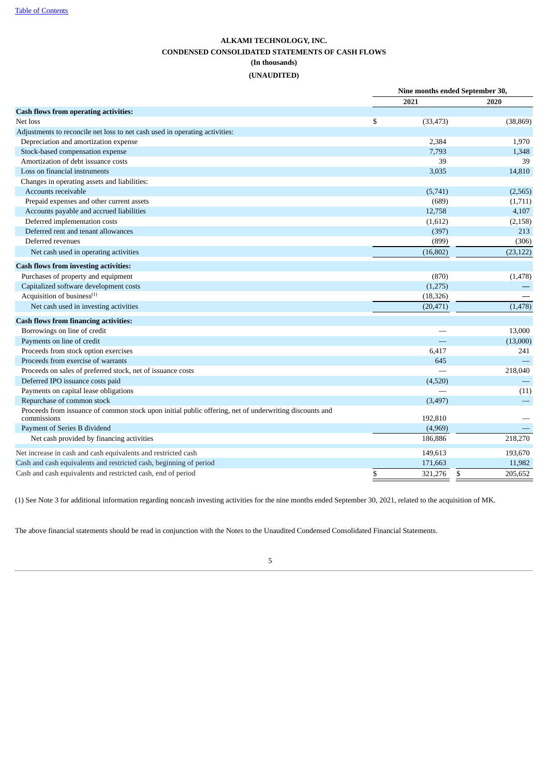# **ALKAMI TECHNOLOGY, INC. CONDENSED CONSOLIDATED STATEMENTS OF CASH FLOWS (In thousands) (UNAUDITED)**

| 2021<br>2020<br><b>Cash flows from operating activities:</b><br>Net loss<br>\$<br>(33, 473)<br>(38, 869)<br>Adjustments to reconcile net loss to net cash used in operating activities:<br>Depreciation and amortization expense<br>2,384<br>1,970<br>Stock-based compensation expense<br>7,793<br>1,348<br>Amortization of debt issuance costs<br>39<br>39<br>Loss on financial instruments<br>3,035<br>14,810<br>Changes in operating assets and liabilities:<br>Accounts receivable<br>(5,741)<br>(2,565)<br>Prepaid expenses and other current assets<br>(689)<br>(1,711)<br>Accounts payable and accrued liabilities<br>12,758<br>4,107<br>Deferred implementation costs<br>(1,612)<br>(2, 158)<br>Deferred rent and tenant allowances<br>(397)<br>213<br>Deferred revenues<br>(899)<br>(306)<br>(16, 802)<br>(23, 122)<br>Net cash used in operating activities<br><b>Cash flows from investing activities:</b><br>Purchases of property and equipment<br>(870)<br>(1, 478)<br>Capitalized software development costs<br>(1,275)<br>Acquisition of business <sup>(1)</sup><br>(18, 326)<br>Net cash used in investing activities<br>(20, 471)<br>(1, 478)<br><b>Cash flows from financing activities:</b><br>Borrowings on line of credit<br>13,000<br>Payments on line of credit<br>(13,000)<br>Proceeds from stock option exercises<br>6,417<br>241<br>Proceeds from exercise of warrants<br>645<br>Proceeds on sales of preferred stock, net of issuance costs<br>218,040<br>Deferred IPO issuance costs paid<br>(4,520)<br>Payments on capital lease obligations<br>(11)<br>Repurchase of common stock<br>(3, 497)<br>Proceeds from issuance of common stock upon initial public offering, net of underwriting discounts and<br>192,810<br>commissions<br>Payment of Series B dividend<br>(4,969)<br>Net cash provided by financing activities<br>186,886<br>218,270<br>Net increase in cash and cash equivalents and restricted cash<br>149,613<br>193,670<br>Cash and cash equivalents and restricted cash, beginning of period<br>171,663<br>11,982<br>Cash and cash equivalents and restricted cash, end of period<br>\$<br>321,276<br>\$<br>205,652 | Nine months ended September 30, |  |  |  |  |  |
|--------------------------------------------------------------------------------------------------------------------------------------------------------------------------------------------------------------------------------------------------------------------------------------------------------------------------------------------------------------------------------------------------------------------------------------------------------------------------------------------------------------------------------------------------------------------------------------------------------------------------------------------------------------------------------------------------------------------------------------------------------------------------------------------------------------------------------------------------------------------------------------------------------------------------------------------------------------------------------------------------------------------------------------------------------------------------------------------------------------------------------------------------------------------------------------------------------------------------------------------------------------------------------------------------------------------------------------------------------------------------------------------------------------------------------------------------------------------------------------------------------------------------------------------------------------------------------------------------------------------------------------------------------------------------------------------------------------------------------------------------------------------------------------------------------------------------------------------------------------------------------------------------------------------------------------------------------------------------------------------------------------------------------------------------------------------------------------------------------------------------------------------------------------------|---------------------------------|--|--|--|--|--|
|                                                                                                                                                                                                                                                                                                                                                                                                                                                                                                                                                                                                                                                                                                                                                                                                                                                                                                                                                                                                                                                                                                                                                                                                                                                                                                                                                                                                                                                                                                                                                                                                                                                                                                                                                                                                                                                                                                                                                                                                                                                                                                                                                                    |                                 |  |  |  |  |  |
|                                                                                                                                                                                                                                                                                                                                                                                                                                                                                                                                                                                                                                                                                                                                                                                                                                                                                                                                                                                                                                                                                                                                                                                                                                                                                                                                                                                                                                                                                                                                                                                                                                                                                                                                                                                                                                                                                                                                                                                                                                                                                                                                                                    |                                 |  |  |  |  |  |
|                                                                                                                                                                                                                                                                                                                                                                                                                                                                                                                                                                                                                                                                                                                                                                                                                                                                                                                                                                                                                                                                                                                                                                                                                                                                                                                                                                                                                                                                                                                                                                                                                                                                                                                                                                                                                                                                                                                                                                                                                                                                                                                                                                    |                                 |  |  |  |  |  |
|                                                                                                                                                                                                                                                                                                                                                                                                                                                                                                                                                                                                                                                                                                                                                                                                                                                                                                                                                                                                                                                                                                                                                                                                                                                                                                                                                                                                                                                                                                                                                                                                                                                                                                                                                                                                                                                                                                                                                                                                                                                                                                                                                                    |                                 |  |  |  |  |  |
|                                                                                                                                                                                                                                                                                                                                                                                                                                                                                                                                                                                                                                                                                                                                                                                                                                                                                                                                                                                                                                                                                                                                                                                                                                                                                                                                                                                                                                                                                                                                                                                                                                                                                                                                                                                                                                                                                                                                                                                                                                                                                                                                                                    |                                 |  |  |  |  |  |
|                                                                                                                                                                                                                                                                                                                                                                                                                                                                                                                                                                                                                                                                                                                                                                                                                                                                                                                                                                                                                                                                                                                                                                                                                                                                                                                                                                                                                                                                                                                                                                                                                                                                                                                                                                                                                                                                                                                                                                                                                                                                                                                                                                    |                                 |  |  |  |  |  |
|                                                                                                                                                                                                                                                                                                                                                                                                                                                                                                                                                                                                                                                                                                                                                                                                                                                                                                                                                                                                                                                                                                                                                                                                                                                                                                                                                                                                                                                                                                                                                                                                                                                                                                                                                                                                                                                                                                                                                                                                                                                                                                                                                                    |                                 |  |  |  |  |  |
|                                                                                                                                                                                                                                                                                                                                                                                                                                                                                                                                                                                                                                                                                                                                                                                                                                                                                                                                                                                                                                                                                                                                                                                                                                                                                                                                                                                                                                                                                                                                                                                                                                                                                                                                                                                                                                                                                                                                                                                                                                                                                                                                                                    |                                 |  |  |  |  |  |
|                                                                                                                                                                                                                                                                                                                                                                                                                                                                                                                                                                                                                                                                                                                                                                                                                                                                                                                                                                                                                                                                                                                                                                                                                                                                                                                                                                                                                                                                                                                                                                                                                                                                                                                                                                                                                                                                                                                                                                                                                                                                                                                                                                    |                                 |  |  |  |  |  |
|                                                                                                                                                                                                                                                                                                                                                                                                                                                                                                                                                                                                                                                                                                                                                                                                                                                                                                                                                                                                                                                                                                                                                                                                                                                                                                                                                                                                                                                                                                                                                                                                                                                                                                                                                                                                                                                                                                                                                                                                                                                                                                                                                                    |                                 |  |  |  |  |  |
|                                                                                                                                                                                                                                                                                                                                                                                                                                                                                                                                                                                                                                                                                                                                                                                                                                                                                                                                                                                                                                                                                                                                                                                                                                                                                                                                                                                                                                                                                                                                                                                                                                                                                                                                                                                                                                                                                                                                                                                                                                                                                                                                                                    |                                 |  |  |  |  |  |
|                                                                                                                                                                                                                                                                                                                                                                                                                                                                                                                                                                                                                                                                                                                                                                                                                                                                                                                                                                                                                                                                                                                                                                                                                                                                                                                                                                                                                                                                                                                                                                                                                                                                                                                                                                                                                                                                                                                                                                                                                                                                                                                                                                    |                                 |  |  |  |  |  |
|                                                                                                                                                                                                                                                                                                                                                                                                                                                                                                                                                                                                                                                                                                                                                                                                                                                                                                                                                                                                                                                                                                                                                                                                                                                                                                                                                                                                                                                                                                                                                                                                                                                                                                                                                                                                                                                                                                                                                                                                                                                                                                                                                                    |                                 |  |  |  |  |  |
|                                                                                                                                                                                                                                                                                                                                                                                                                                                                                                                                                                                                                                                                                                                                                                                                                                                                                                                                                                                                                                                                                                                                                                                                                                                                                                                                                                                                                                                                                                                                                                                                                                                                                                                                                                                                                                                                                                                                                                                                                                                                                                                                                                    |                                 |  |  |  |  |  |
|                                                                                                                                                                                                                                                                                                                                                                                                                                                                                                                                                                                                                                                                                                                                                                                                                                                                                                                                                                                                                                                                                                                                                                                                                                                                                                                                                                                                                                                                                                                                                                                                                                                                                                                                                                                                                                                                                                                                                                                                                                                                                                                                                                    |                                 |  |  |  |  |  |
|                                                                                                                                                                                                                                                                                                                                                                                                                                                                                                                                                                                                                                                                                                                                                                                                                                                                                                                                                                                                                                                                                                                                                                                                                                                                                                                                                                                                                                                                                                                                                                                                                                                                                                                                                                                                                                                                                                                                                                                                                                                                                                                                                                    |                                 |  |  |  |  |  |
|                                                                                                                                                                                                                                                                                                                                                                                                                                                                                                                                                                                                                                                                                                                                                                                                                                                                                                                                                                                                                                                                                                                                                                                                                                                                                                                                                                                                                                                                                                                                                                                                                                                                                                                                                                                                                                                                                                                                                                                                                                                                                                                                                                    |                                 |  |  |  |  |  |
|                                                                                                                                                                                                                                                                                                                                                                                                                                                                                                                                                                                                                                                                                                                                                                                                                                                                                                                                                                                                                                                                                                                                                                                                                                                                                                                                                                                                                                                                                                                                                                                                                                                                                                                                                                                                                                                                                                                                                                                                                                                                                                                                                                    |                                 |  |  |  |  |  |
|                                                                                                                                                                                                                                                                                                                                                                                                                                                                                                                                                                                                                                                                                                                                                                                                                                                                                                                                                                                                                                                                                                                                                                                                                                                                                                                                                                                                                                                                                                                                                                                                                                                                                                                                                                                                                                                                                                                                                                                                                                                                                                                                                                    |                                 |  |  |  |  |  |
|                                                                                                                                                                                                                                                                                                                                                                                                                                                                                                                                                                                                                                                                                                                                                                                                                                                                                                                                                                                                                                                                                                                                                                                                                                                                                                                                                                                                                                                                                                                                                                                                                                                                                                                                                                                                                                                                                                                                                                                                                                                                                                                                                                    |                                 |  |  |  |  |  |
|                                                                                                                                                                                                                                                                                                                                                                                                                                                                                                                                                                                                                                                                                                                                                                                                                                                                                                                                                                                                                                                                                                                                                                                                                                                                                                                                                                                                                                                                                                                                                                                                                                                                                                                                                                                                                                                                                                                                                                                                                                                                                                                                                                    |                                 |  |  |  |  |  |
|                                                                                                                                                                                                                                                                                                                                                                                                                                                                                                                                                                                                                                                                                                                                                                                                                                                                                                                                                                                                                                                                                                                                                                                                                                                                                                                                                                                                                                                                                                                                                                                                                                                                                                                                                                                                                                                                                                                                                                                                                                                                                                                                                                    |                                 |  |  |  |  |  |
|                                                                                                                                                                                                                                                                                                                                                                                                                                                                                                                                                                                                                                                                                                                                                                                                                                                                                                                                                                                                                                                                                                                                                                                                                                                                                                                                                                                                                                                                                                                                                                                                                                                                                                                                                                                                                                                                                                                                                                                                                                                                                                                                                                    |                                 |  |  |  |  |  |
|                                                                                                                                                                                                                                                                                                                                                                                                                                                                                                                                                                                                                                                                                                                                                                                                                                                                                                                                                                                                                                                                                                                                                                                                                                                                                                                                                                                                                                                                                                                                                                                                                                                                                                                                                                                                                                                                                                                                                                                                                                                                                                                                                                    |                                 |  |  |  |  |  |
|                                                                                                                                                                                                                                                                                                                                                                                                                                                                                                                                                                                                                                                                                                                                                                                                                                                                                                                                                                                                                                                                                                                                                                                                                                                                                                                                                                                                                                                                                                                                                                                                                                                                                                                                                                                                                                                                                                                                                                                                                                                                                                                                                                    |                                 |  |  |  |  |  |
|                                                                                                                                                                                                                                                                                                                                                                                                                                                                                                                                                                                                                                                                                                                                                                                                                                                                                                                                                                                                                                                                                                                                                                                                                                                                                                                                                                                                                                                                                                                                                                                                                                                                                                                                                                                                                                                                                                                                                                                                                                                                                                                                                                    |                                 |  |  |  |  |  |
|                                                                                                                                                                                                                                                                                                                                                                                                                                                                                                                                                                                                                                                                                                                                                                                                                                                                                                                                                                                                                                                                                                                                                                                                                                                                                                                                                                                                                                                                                                                                                                                                                                                                                                                                                                                                                                                                                                                                                                                                                                                                                                                                                                    |                                 |  |  |  |  |  |
|                                                                                                                                                                                                                                                                                                                                                                                                                                                                                                                                                                                                                                                                                                                                                                                                                                                                                                                                                                                                                                                                                                                                                                                                                                                                                                                                                                                                                                                                                                                                                                                                                                                                                                                                                                                                                                                                                                                                                                                                                                                                                                                                                                    |                                 |  |  |  |  |  |
|                                                                                                                                                                                                                                                                                                                                                                                                                                                                                                                                                                                                                                                                                                                                                                                                                                                                                                                                                                                                                                                                                                                                                                                                                                                                                                                                                                                                                                                                                                                                                                                                                                                                                                                                                                                                                                                                                                                                                                                                                                                                                                                                                                    |                                 |  |  |  |  |  |
|                                                                                                                                                                                                                                                                                                                                                                                                                                                                                                                                                                                                                                                                                                                                                                                                                                                                                                                                                                                                                                                                                                                                                                                                                                                                                                                                                                                                                                                                                                                                                                                                                                                                                                                                                                                                                                                                                                                                                                                                                                                                                                                                                                    |                                 |  |  |  |  |  |
|                                                                                                                                                                                                                                                                                                                                                                                                                                                                                                                                                                                                                                                                                                                                                                                                                                                                                                                                                                                                                                                                                                                                                                                                                                                                                                                                                                                                                                                                                                                                                                                                                                                                                                                                                                                                                                                                                                                                                                                                                                                                                                                                                                    |                                 |  |  |  |  |  |
|                                                                                                                                                                                                                                                                                                                                                                                                                                                                                                                                                                                                                                                                                                                                                                                                                                                                                                                                                                                                                                                                                                                                                                                                                                                                                                                                                                                                                                                                                                                                                                                                                                                                                                                                                                                                                                                                                                                                                                                                                                                                                                                                                                    |                                 |  |  |  |  |  |
|                                                                                                                                                                                                                                                                                                                                                                                                                                                                                                                                                                                                                                                                                                                                                                                                                                                                                                                                                                                                                                                                                                                                                                                                                                                                                                                                                                                                                                                                                                                                                                                                                                                                                                                                                                                                                                                                                                                                                                                                                                                                                                                                                                    |                                 |  |  |  |  |  |
|                                                                                                                                                                                                                                                                                                                                                                                                                                                                                                                                                                                                                                                                                                                                                                                                                                                                                                                                                                                                                                                                                                                                                                                                                                                                                                                                                                                                                                                                                                                                                                                                                                                                                                                                                                                                                                                                                                                                                                                                                                                                                                                                                                    |                                 |  |  |  |  |  |
|                                                                                                                                                                                                                                                                                                                                                                                                                                                                                                                                                                                                                                                                                                                                                                                                                                                                                                                                                                                                                                                                                                                                                                                                                                                                                                                                                                                                                                                                                                                                                                                                                                                                                                                                                                                                                                                                                                                                                                                                                                                                                                                                                                    |                                 |  |  |  |  |  |
|                                                                                                                                                                                                                                                                                                                                                                                                                                                                                                                                                                                                                                                                                                                                                                                                                                                                                                                                                                                                                                                                                                                                                                                                                                                                                                                                                                                                                                                                                                                                                                                                                                                                                                                                                                                                                                                                                                                                                                                                                                                                                                                                                                    |                                 |  |  |  |  |  |

(1) See Note 3 for additional information regarding noncash investing activities for the nine months ended September 30, 2021, related to the acquisition of MK.

<span id="page-6-0"></span>The above financial statements should be read in conjunction with the Notes to the Unaudited Condensed Consolidated Financial Statements.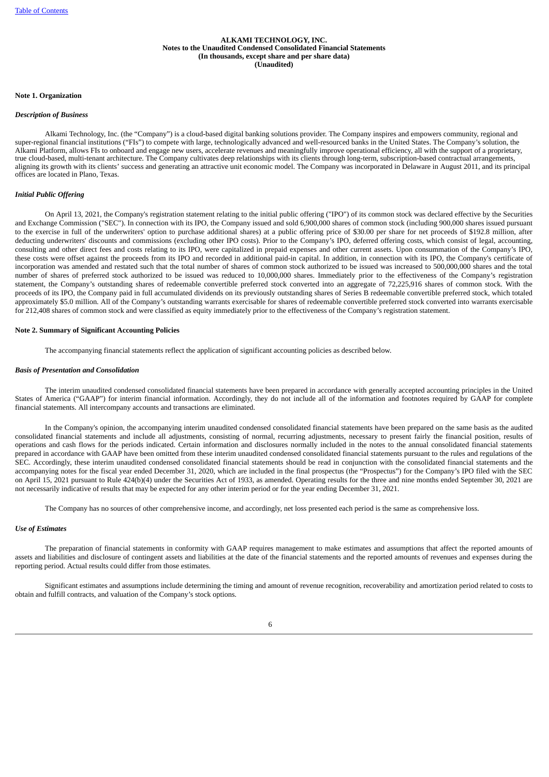### **ALKAMI TECHNOLOGY, INC. Notes to the Unaudited Condensed Consolidated Financial Statements (In thousands, except share and per share data) (Unaudited)**

# **Note 1. Organization**

#### *Description of Business*

Alkami Technology, Inc. (the "Company") is a cloud-based digital banking solutions provider. The Company inspires and empowers community, regional and super-regional financial institutions ("FIs") to compete with large, technologically advanced and well-resourced banks in the United States. The Company's solution, the Alkami Platform, allows FIs to onboard and engage new users, accelerate revenues and meaningfully improve operational efficiency, all with the support of a proprietary, true cloud-based, multi-tenant architecture. The Company cultivates deep relationships with its clients through long-term, subscription-based contractual arrangements, aligning its growth with its clients' success and generating an attractive unit economic model. The Company was incorporated in Delaware in August 2011, and its principal offices are located in Plano, Texas.

### *Initial Public Offering*

On April 13, 2021, the Company's registration statement relating to the initial public offering ("IPO") of its common stock was declared effective by the Securities and Exchange Commission ("SEC"). In connection with its IPO, the Company issued and sold 6,900,000 shares of common stock (including 900,000 shares issued pursuant to the exercise in full of the underwriters' option to purchase additional shares) at a public offering price of \$30.00 per share for net proceeds of \$192.8 million, after deducting underwriters' discounts and commissions (excluding other IPO costs). Prior to the Company's IPO, deferred offering costs, which consist of legal, accounting, consulting and other direct fees and costs relating to its IPO, were capitalized in prepaid expenses and other current assets. Upon consummation of the Company's IPO, these costs were offset against the proceeds from its IPO and recorded in additional paid-in capital. In addition, in connection with its IPO, the Company's certificate of incorporation was amended and restated such that the total number of shares of common stock authorized to be issued was increased to 500,000,000 shares and the total number of shares of preferred stock authorized to be issued was reduced to 10,000,000 shares. Immediately prior to the effectiveness of the Company's registration statement, the Company's outstanding shares of redeemable convertible preferred stock converted into an aggregate of 72,225,916 shares of common stock. With the proceeds of its IPO, the Company paid in full accumulated dividends on its previously outstanding shares of Series B redeemable convertible preferred stock, which totaled approximately \$5.0 million. All of the Company's outstanding warrants exercisable for shares of redeemable convertible preferred stock converted into warrants exercisable for 212,408 shares of common stock and were classified as equity immediately prior to the effectiveness of the Company's registration statement.

#### **Note 2. Summary of Significant Accounting Policies**

The accompanying financial statements reflect the application of significant accounting policies as described below.

#### *Basis of Presentation and Consolidation*

The interim unaudited condensed consolidated financial statements have been prepared in accordance with generally accepted accounting principles in the United States of America ("GAAP") for interim financial information. Accordingly, they do not include all of the information and footnotes required by GAAP for complete financial statements. All intercompany accounts and transactions are eliminated.

In the Company's opinion, the accompanying interim unaudited condensed consolidated financial statements have been prepared on the same basis as the audited consolidated financial statements and include all adjustments, consisting of normal, recurring adjustments, necessary to present fairly the financial position, results of operations and cash flows for the periods indicated. Certain information and disclosures normally included in the notes to the annual consolidated financial statements prepared in accordance with GAAP have been omitted from these interim unaudited condensed consolidated financial statements pursuant to the rules and regulations of the SEC. Accordingly, these interim unaudited condensed consolidated financial statements should be read in conjunction with the consolidated financial statements and the accompanying notes for the fiscal year ended December 31, 2020, which are included in the final prospectus (the "Prospectus") for the Company's IPO filed with the SEC on April 15, 2021 pursuant to Rule 424(b)(4) under the Securities Act of 1933, as amended. Operating results for the three and nine months ended September 30, 2021 are not necessarily indicative of results that may be expected for any other interim period or for the year ending December 31, 2021.

The Company has no sources of other comprehensive income, and accordingly, net loss presented each period is the same as comprehensive loss.

### *Use of Estimates*

The preparation of financial statements in conformity with GAAP requires management to make estimates and assumptions that affect the reported amounts of assets and liabilities and disclosure of contingent assets and liabilities at the date of the financial statements and the reported amounts of revenues and expenses during the reporting period. Actual results could differ from those estimates.

Significant estimates and assumptions include determining the timing and amount of revenue recognition, recoverability and amortization period related to costs to obtain and fulfill contracts, and valuation of the Company's stock options.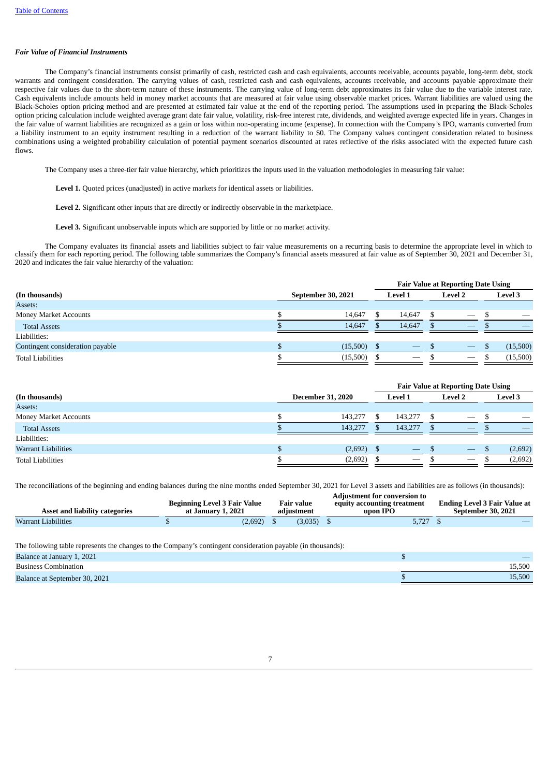# *Fair Value of Financial Instruments*

The Company's financial instruments consist primarily of cash, restricted cash and cash equivalents, accounts receivable, accounts payable, long-term debt, stock warrants and contingent consideration. The carrying values of cash, restricted cash and cash equivalents, accounts receivable, and accounts payable approximate their respective fair values due to the short-term nature of these instruments. The carrying value of long-term debt approximates its fair value due to the variable interest rate. Cash equivalents include amounts held in money market accounts that are measured at fair value using observable market prices. Warrant liabilities are valued using the Black-Scholes option pricing method and are presented at estimated fair value at the end of the reporting period. The assumptions used in preparing the Black-Scholes option pricing calculation include weighted average grant date fair value, volatility, risk-free interest rate, dividends, and weighted average expected life in years. Changes in the fair value of warrant liabilities are recognized as a gain or loss within non-operating income (expense). In connection with the Company's IPO, warrants converted from a liability instrument to an equity instrument resulting in a reduction of the warrant liability to \$0. The Company values contingent consideration related to business combinations using a weighted probability calculation of potential payment scenarios discounted at rates reflective of the risks associated with the expected future cash flows.

The Company uses a three-tier fair value hierarchy, which prioritizes the inputs used in the valuation methodologies in measuring fair value:

**Level 1.** Quoted prices (unadjusted) in active markets for identical assets or liabilities.

**Level 2.** Significant other inputs that are directly or indirectly observable in the marketplace.

**Level 3.** Significant unobservable inputs which are supported by little or no market activity.

The Company evaluates its financial assets and liabilities subject to fair value measurements on a recurring basis to determine the appropriate level in which to classify them for each reporting period. The following table summarizes the Company's financial assets measured at fair value as of September 30, 2021 and December 31, 2020 and indicates the fair value hierarchy of the valuation:

|                                  |                           |          |                | <b>Fair Value at Reporting Date Using</b> |                                 |                |
|----------------------------------|---------------------------|----------|----------------|-------------------------------------------|---------------------------------|----------------|
| (In thousands)                   | <b>September 30, 2021</b> |          | <b>Level 1</b> |                                           | <b>Level 2</b>                  | <b>Level 3</b> |
| Assets:                          |                           |          |                |                                           |                                 |                |
| <b>Money Market Accounts</b>     |                           | 14.647   | 14.647         |                                           |                                 |                |
| <b>Total Assets</b>              |                           | 14.647   | 14.647         |                                           |                                 |                |
| Liabilities:                     |                           |          |                |                                           |                                 |                |
| Contingent consideration payable |                           | (15,500) |                |                                           | $\overbrace{\phantom{aaaaa}}$   | (15,500)       |
| <b>Total Liabilities</b>         |                           | (15,500) |                | $\hspace{0.1mm}-\hspace{0.1mm}$           | $\hspace{0.1mm}-\hspace{0.1mm}$ | (15,500)       |

|                              |                          |                |                          | <b>Fair Value at Reporting Date Using</b> |                |  |                |  |  |  |
|------------------------------|--------------------------|----------------|--------------------------|-------------------------------------------|----------------|--|----------------|--|--|--|
| (In thousands)               | <b>December 31, 2020</b> | <b>Level 1</b> |                          |                                           | <b>Level 2</b> |  | <b>Level 3</b> |  |  |  |
| Assets:                      |                          |                |                          |                                           |                |  |                |  |  |  |
| <b>Money Market Accounts</b> | 143,277                  |                | 143,277                  |                                           |                |  |                |  |  |  |
| <b>Total Assets</b>          | 143,277                  |                | 143,277                  |                                           |                |  |                |  |  |  |
| Liabilities:                 |                          |                |                          |                                           |                |  |                |  |  |  |
| Warrant Liabilities          | (2,692)                  |                |                          |                                           |                |  | (2,692)        |  |  |  |
| <b>Total Liabilities</b>     | (2,692)                  |                | $\overline{\phantom{a}}$ |                                           |                |  | (2,692)        |  |  |  |
|                              |                          |                |                          |                                           |                |  |                |  |  |  |

The reconciliations of the beginning and ending balances during the nine months ended September 30, 2021 for Level 3 assets and liabilities are as follows (in thousands):

| <b>Asset and liability categories</b> | Beginning Level 3 Fair Value<br>at January 1, 2021 |         | Fair value<br>adiustment |  | <b>Adjustment for conversion to</b><br>equity accounting treatment<br>upon IPO | <b>Ending Level 3 Fair Value at</b><br>September 30, 2021 |
|---------------------------------------|----------------------------------------------------|---------|--------------------------|--|--------------------------------------------------------------------------------|-----------------------------------------------------------|
| Warrant Liabilities                   |                                                    | (2.692) | (3.035)                  |  | 5.727                                                                          |                                                           |
|                                       |                                                    |         |                          |  |                                                                                |                                                           |

The following table represents the changes to the Company's contingent consideration payable (in thousands):

|                               |  |  | ___ |  |        |
|-------------------------------|--|--|-----|--|--------|
| Balance at January 1, 2021    |  |  |     |  |        |
| <b>Business Combination</b>   |  |  |     |  | 15.500 |
| Balance at September 30, 2021 |  |  |     |  | 15.500 |
|                               |  |  |     |  |        |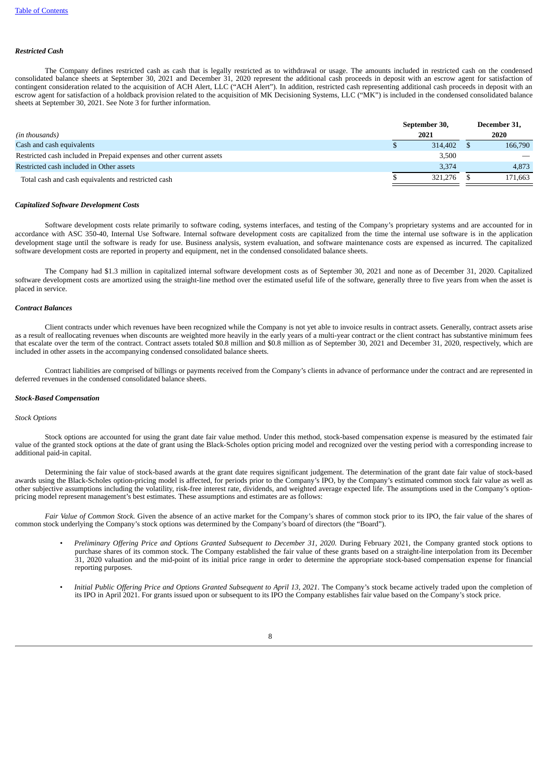# *Restricted Cash*

The Company defines restricted cash as cash that is legally restricted as to withdrawal or usage. The amounts included in restricted cash on the condensed consolidated balance sheets at September 30, 2021 and December 31, 2020 represent the additional cash proceeds in deposit with an escrow agent for satisfaction of contingent consideration related to the acquisition of ACH Alert, LLC ("ACH Alert"). In addition, restricted cash representing additional cash proceeds in deposit with an escrow agent for satisfaction of a holdback provision related to the acquisition of MK Decisioning Systems, LLC ("MK") is included in the condensed consolidated balance sheets at September 30, 2021. See Note 3 for further information.

| (in thousands)                                                        | September 30,<br>2021 | December 31,<br>2020 |
|-----------------------------------------------------------------------|-----------------------|----------------------|
| Cash and cash equivalents                                             | 314,402               | 166,790              |
| Restricted cash included in Prepaid expenses and other current assets | 3,500                 |                      |
| Restricted cash included in Other assets                              | 3.374                 | 4.873                |
| Total cash and cash equivalents and restricted cash                   | 321.276               | 171.663              |

#### *Capitalized Software Development Costs*

Software development costs relate primarily to software coding, systems interfaces, and testing of the Company's proprietary systems and are accounted for in accordance with ASC 350-40, Internal Use Software. Internal software development costs are capitalized from the time the internal use software is in the application development stage until the software is ready for use. Business analysis, system evaluation, and software maintenance costs are expensed as incurred. The capitalized software development costs are reported in property and equipment, net in the condensed consolidated balance sheets.

The Company had \$1.3 million in capitalized internal software development costs as of September 30, 2021 and none as of December 31, 2020. Capitalized software development costs are amortized using the straight-line method over the estimated useful life of the software, generally three to five years from when the asset is placed in service.

# *Contract Balances*

Client contracts under which revenues have been recognized while the Company is not yet able to invoice results in contract assets. Generally, contract assets arise as a result of reallocating revenues when discounts are weighted more heavily in the early years of a multi-year contract or the client contract has substantive minimum fees that escalate over the term of the contract. Contract assets totaled \$0.8 million and \$0.8 million as of September 30, 2021 and December 31, 2020, respectively, which are included in other assets in the accompanying condensed consolidated balance sheets.

Contract liabilities are comprised of billings or payments received from the Company's clients in advance of performance under the contract and are represented in deferred revenues in the condensed consolidated balance sheets.

#### *Stock-Based Compensation*

# *Stock Options*

Stock options are accounted for using the grant date fair value method. Under this method, stock-based compensation expense is measured by the estimated fair value of the granted stock options at the date of grant using the Black-Scholes option pricing model and recognized over the vesting period with a corresponding increase to additional paid-in capital.

Determining the fair value of stock-based awards at the grant date requires significant judgement. The determination of the grant date fair value of stock-based awards using the Black-Scholes option-pricing model is affected, for periods prior to the Company's IPO, by the Company's estimated common stock fair value as well as other subjective assumptions including the volatility, risk-free interest rate, dividends, and weighted average expected life. The assumptions used in the Company's optionpricing model represent management's best estimates. These assumptions and estimates are as follows:

*Fair Value of Common Stock.* Given the absence of an active market for the Company's shares of common stock prior to its IPO, the fair value of the shares of common stock underlying the Company's stock options was determined by the Company's board of directors (the "Board").

- Preliminary Offering Price and Options Granted Subsequent to December 31, 2020. During February 2021, the Company granted stock options to purchase shares of its common stock. The Company established the fair value of these grants based on a straight-line interpolation from its December 31, 2020 valuation and the mid-point of its initial price range in order to determine the appropriate stock-based compensation expense for financial reporting purposes.
- *Initial Public Offering Price and Options Granted Subsequent to April 13, 2021*. The Company's stock became actively traded upon the completion of its IPO in April 2021. For grants issued upon or subsequent to its IPO the Company establishes fair value based on the Company's stock price.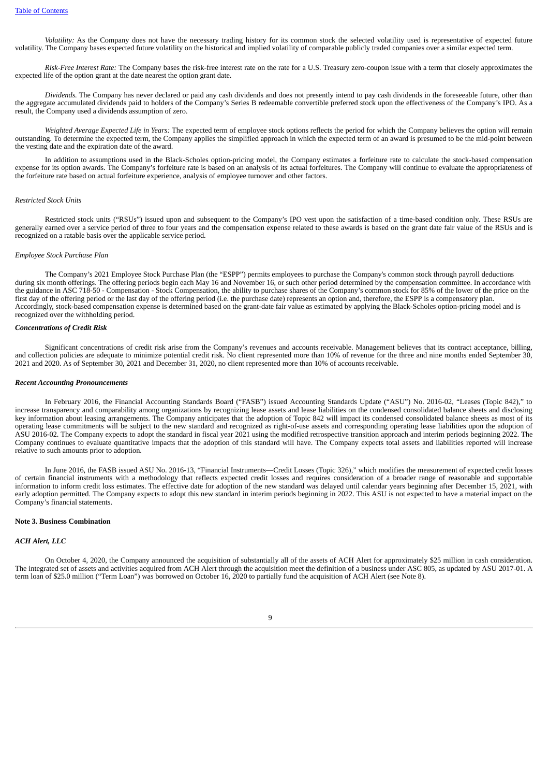*Volatility:* As the Company does not have the necessary trading history for its common stock the selected volatility used is representative of expected future volatility. The Company bases expected future volatility on the historical and implied volatility of comparable publicly traded companies over a similar expected term.

*Risk-Free Interest Rate:* The Company bases the risk-free interest rate on the rate for a U.S. Treasury zero-coupon issue with a term that closely approximates the expected life of the option grant at the date nearest the option grant date.

*Dividends.* The Company has never declared or paid any cash dividends and does not presently intend to pay cash dividends in the foreseeable future, other than the aggregate accumulated dividends paid to holders of the Company's Series B redeemable convertible preferred stock upon the effectiveness of the Company's IPO. As a result, the Company used a dividends assumption of zero.

*Weighted Average Expected Life in Years:* The expected term of employee stock options reflects the period for which the Company believes the option will remain outstanding. To determine the expected term, the Company applies the simplified approach in which the expected term of an award is presumed to be the mid-point between the vesting date and the expiration date of the award.

In addition to assumptions used in the Black-Scholes option-pricing model, the Company estimates a forfeiture rate to calculate the stock-based compensation expense for its option awards. The Company's forfeiture rate is based on an analysis of its actual forfeitures. The Company will continue to evaluate the appropriateness of the forfeiture rate based on actual forfeiture experience, analysis of employee turnover and other factors.

# *Restricted Stock Units*

Restricted stock units ("RSUs") issued upon and subsequent to the Company's IPO vest upon the satisfaction of a time-based condition only. These RSUs are generally earned over a service period of three to four years and the compensation expense related to these awards is based on the grant date fair value of the RSUs and is recognized on a ratable basis over the applicable service period.

### *Employee Stock Purchase Plan*

The Company's 2021 Employee Stock Purchase Plan (the "ESPP") permits employees to purchase the Company's common stock through payroll deductions during six month offerings. The offering periods begin each May 16 and November 16, or such other period determined by the compensation committee. In accordance with the guidance in ASC 718-50 - Compensation - Stock Compensation, the ability to purchase shares of the Company's common stock for 85% of the lower of the price on the first day of the offering period or the last day of the offering period (i.e. the purchase date) represents an option and, therefore, the ESPP is a compensatory plan. Accordingly, stock-based compensation expense is determined based on the grant-date fair value as estimated by applying the Black-Scholes option-pricing model and is recognized over the withholding period.

# *Concentrations of Credit Risk*

Significant concentrations of credit risk arise from the Company's revenues and accounts receivable. Management believes that its contract acceptance, billing, and collection policies are adequate to minimize potential credit risk. No client represented more than 10% of revenue for the three and nine months ended September 30, 2021 and 2020. As of September 30, 2021 and December 31, 2020, no client represented more than 10% of accounts receivable.

### *Recent Accounting Pronouncements*

In February 2016, the Financial Accounting Standards Board ("FASB") issued Accounting Standards Update ("ASU") No. 2016-02, "Leases (Topic 842)," to increase transparency and comparability among organizations by recognizing lease assets and lease liabilities on the condensed consolidated balance sheets and disclosing key information about leasing arrangements. The Company anticipates that the adoption of Topic 842 will impact its condensed consolidated balance sheets as most of its operating lease commitments will be subject to the new standard and recognized as right-of-use assets and corresponding operating lease liabilities upon the adoption of ASU 2016-02. The Company expects to adopt the standard in fiscal year 2021 using the modified retrospective transition approach and interim periods beginning 2022. The Company continues to evaluate quantitative impacts that the adoption of this standard will have. The Company expects total assets and liabilities reported will increase relative to such amounts prior to adoption.

In June 2016, the FASB issued ASU No. 2016-13, "Financial Instruments—Credit Losses (Topic 326)," which modifies the measurement of expected credit losses of certain financial instruments with a methodology that reflects expected credit losses and requires consideration of a broader range of reasonable and supportable information to inform credit loss estimates. The effective date for adoption of the new standard was delayed until calendar years beginning after December 15, 2021, with early adoption permitted. The Company expects to adopt this new standard in interim periods beginning in 2022. This ASU is not expected to have a material impact on the Company's financial statements.

#### **Note 3. Business Combination**

# *ACH Alert, LLC*

On October 4, 2020, the Company announced the acquisition of substantially all of the assets of ACH Alert for approximately \$25 million in cash consideration. The integrated set of assets and activities acquired from ACH Alert through the acquisition meet the definition of a business under ASC 805, as updated by ASU 2017-01. A term loan of \$25.0 million ("Term Loan") was borrowed on October 16, 2020 to partially fund the acquisition of ACH Alert (see Note 8).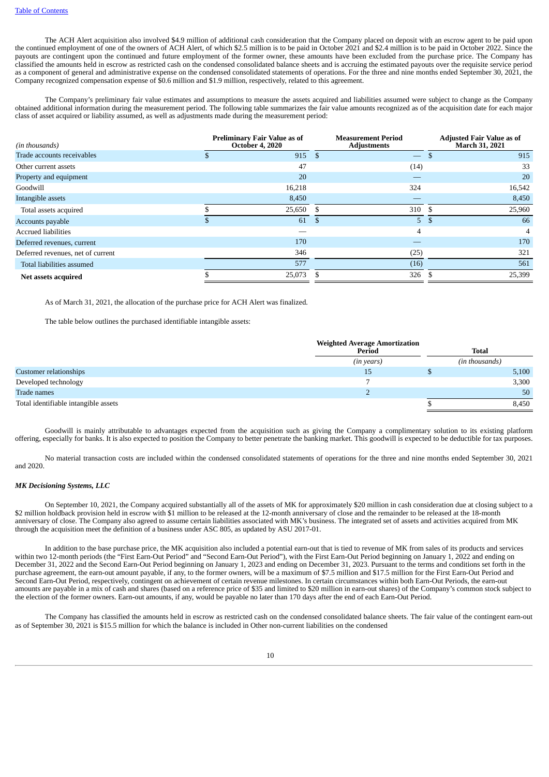The ACH Alert acquisition also involved \$4.9 million of additional cash consideration that the Company placed on deposit with an escrow agent to be paid upon the continued employment of one of the owners of ACH Alert, of which \$2.5 million is to be paid in October 2021 and \$2.4 million is to be paid in October 2022. Since the payouts are contingent upon the continued and future employment of the former owner, these amounts have been excluded from the purchase price. The Company has classified the amounts held in escrow as restricted cash on the condensed consolidated balance sheets and is accruing the estimated payouts over the requisite service period as a component of general and administrative expense on the condensed consolidated statements of operations. For the three and nine months ended September 30, 2021, the Company recognized compensation expense of \$0.6 million and \$1.9 million, respectively, related to this agreement.

The Company's preliminary fair value estimates and assumptions to measure the assets acquired and liabilities assumed were subject to change as the Company obtained additional information during the measurement period. The following table summarizes the fair value amounts recognized as of the acquisition date for each major class of asset acquired or liability assumed, as well as adjustments made during the measurement period:

| (in thousands)                    |     | <b>Preliminary Fair Value as of</b><br><b>October 4, 2020</b> | <b>Measurement Period</b><br><b>Adjustments</b> |                          |              | <b>Adjusted Fair Value as of</b><br><b>March 31, 2021</b> |
|-----------------------------------|-----|---------------------------------------------------------------|-------------------------------------------------|--------------------------|--------------|-----------------------------------------------------------|
| Trade accounts receivables        | Эb. | 915                                                           | - \$                                            | $\overline{\phantom{0}}$ | \$           | 915                                                       |
| Other current assets              |     | 47                                                            |                                                 | (14)                     |              | 33                                                        |
| Property and equipment            |     | 20                                                            |                                                 |                          |              | 20                                                        |
| Goodwill                          |     | 16,218                                                        |                                                 | 324                      |              | 16,542                                                    |
| Intangible assets                 |     | 8,450                                                         |                                                 |                          |              | 8,450                                                     |
| Total assets acquired             |     | 25,650                                                        | - S                                             | 310 \$                   |              | 25,960                                                    |
| Accounts payable                  |     | 61                                                            | $\mathbf{S}$                                    | 5 <sup>1</sup>           | $\mathbf{s}$ | 66                                                        |
| <b>Accrued liabilities</b>        |     |                                                               |                                                 | $\overline{4}$           |              | 4                                                         |
| Deferred revenues, current        |     | 170                                                           |                                                 |                          |              | 170                                                       |
| Deferred revenues, net of current |     | 346                                                           |                                                 | (25)                     |              | 321                                                       |
| Total liabilities assumed         |     | 577                                                           |                                                 | (16)                     |              | 561                                                       |
| Net assets acquired               |     | 25,073                                                        |                                                 | 326                      | S            | 25,399                                                    |

As of March 31, 2021, the allocation of the purchase price for ACH Alert was finalized.

The table below outlines the purchased identifiable intangible assets:

|                                      | <b>Weighted Average Amortization</b><br>Period | <b>Total</b>   |
|--------------------------------------|------------------------------------------------|----------------|
|                                      | (in years)                                     | (in thousands) |
| Customer relationships               | 15                                             | 5,100          |
| Developed technology                 |                                                | 3,300          |
| Trade names                          |                                                | 50             |
| Total identifiable intangible assets |                                                | 8,450          |

Goodwill is mainly attributable to advantages expected from the acquisition such as giving the Company a complimentary solution to its existing platform offering, especially for banks. It is also expected to position the Company to better penetrate the banking market. This goodwill is expected to be deductible for tax purposes.

No material transaction costs are included within the condensed consolidated statements of operations for the three and nine months ended September 30, 2021 and 2020.

#### *MK Decisioning Systems, LLC*

On September 10, 2021, the Company acquired substantially all of the assets of MK for approximately \$20 million in cash consideration due at closing subject to a \$2 million holdback provision held in escrow with \$1 million to be released at the 12-month anniversary of close and the remainder to be released at the 18-month anniversary of close. The Company also agreed to assume certain liabilities associated with MK's business. The integrated set of assets and activities acquired from MK through the acquisition meet the definition of a business under ASC 805, as updated by ASU 2017-01.

In addition to the base purchase price, the MK acquisition also included a potential earn-out that is tied to revenue of MK from sales of its products and services within two 12-month periods (the "First Earn-Out Period" and "Second Earn-Out Period"), with the First Earn-Out Period beginning on January 1, 2022 and ending on December 31, 2022 and the Second Earn-Out Period beginning on January 1, 2023 and ending on December 31, 2023. Pursuant to the terms and conditions set forth in the purchase agreement, the earn-out amount payable, if any, to the former owners, will be a maximum of \$7.5 million and \$17.5 million for the First Earn-Out Period and Second Earn-Out Period, respectively, contingent on achievement of certain revenue milestones. In certain circumstances within both Earn-Out Periods, the earn-out amounts are payable in a mix of cash and shares (based on a reference price of \$35 and limited to \$20 million in earn-out shares) of the Company's common stock subject to the election of the former owners. Earn-out amounts, if any, would be payable no later than 170 days after the end of each Earn-Out Period.

The Company has classified the amounts held in escrow as restricted cash on the condensed consolidated balance sheets. The fair value of the contingent earn-out as of September 30, 2021 is \$15.5 million for which the balance is included in Other non-current liabilities on the condensed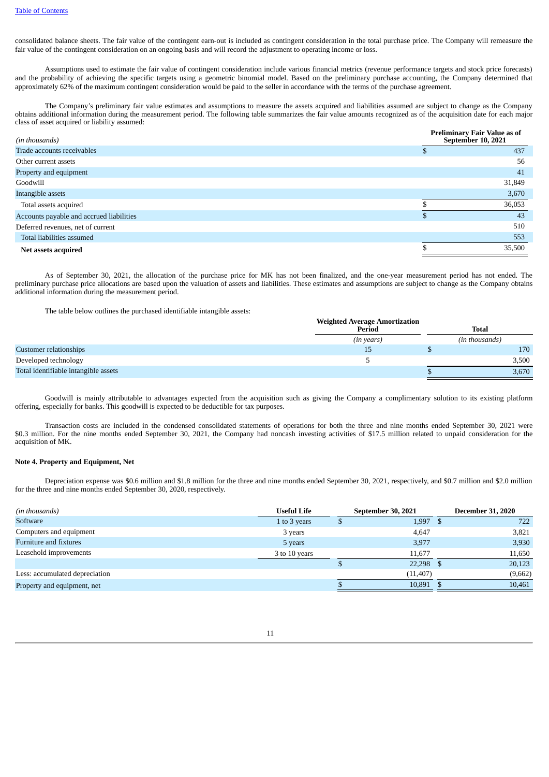consolidated balance sheets. The fair value of the contingent earn-out is included as contingent consideration in the total purchase price. The Company will remeasure the fair value of the contingent consideration on an ongoing basis and will record the adjustment to operating income or loss.

Assumptions used to estimate the fair value of contingent consideration include various financial metrics (revenue performance targets and stock price forecasts) and the probability of achieving the specific targets using a geometric binomial model. Based on the preliminary purchase accounting, the Company determined that approximately 62% of the maximum contingent consideration would be paid to the seller in accordance with the terms of the purchase agreement.

The Company's preliminary fair value estimates and assumptions to measure the assets acquired and liabilities assumed are subject to change as the Company obtains additional information during the measurement period. The following table summarizes the fair value amounts recognized as of the acquisition date for each major class of asset acquired or liability assumed:

| <b>Preliminary Fair Value as of</b><br>September 10, 2021 |  |
|-----------------------------------------------------------|--|
| 437                                                       |  |
| 56                                                        |  |
| 41                                                        |  |
| 31,849                                                    |  |
| 3,670                                                     |  |
| 36,053                                                    |  |
| 43                                                        |  |
| 510                                                       |  |
| 553                                                       |  |
| 35,500                                                    |  |
|                                                           |  |

As of September 30, 2021, the allocation of the purchase price for MK has not been finalized, and the one-year measurement period has not ended. The preliminary purchase price allocations are based upon the valuation of assets and liabilities. These estimates and assumptions are subject to change as the Company obtains additional information during the measurement period.

The table below outlines the purchased identifiable intangible assets:

|                                      | <b>Weighted Average Amortization</b> |                |
|--------------------------------------|--------------------------------------|----------------|
|                                      | Period                               | <b>Total</b>   |
|                                      | (in years)                           | (in thousands) |
| <b>Customer relationships</b>        |                                      | 170            |
| Developed technology                 |                                      | 3,500          |
| Total identifiable intangible assets |                                      | 3,670          |

Goodwill is mainly attributable to advantages expected from the acquisition such as giving the Company a complimentary solution to its existing platform offering, especially for banks. This goodwill is expected to be deductible for tax purposes.

Transaction costs are included in the condensed consolidated statements of operations for both the three and nine months ended September 30, 2021 were \$0.3 million. For the nine months ended September 30, 2021, the Company had noncash investing activities of \$17.5 million related to unpaid consideration for the acquisition of MK.

# **Note 4. Property and Equipment, Net**

Depreciation expense was \$0.6 million and \$1.8 million for the three and nine months ended September 30, 2021, respectively, and \$0.7 million and \$2.0 million for the three and nine months ended September 30, 2020, respectively.

| (in thousands)                 | <b>Useful Life</b> | September 30, 2021 |     | <b>December 31, 2020</b> |
|--------------------------------|--------------------|--------------------|-----|--------------------------|
| Software                       | 1 to 3 years       | 1,997              |     | 722                      |
| Computers and equipment        | 3 years            | 4,647              |     | 3,821                    |
| Furniture and fixtures         | 5 years            | 3,977              |     | 3,930                    |
| Leasehold improvements         | 3 to 10 years      | 11.677             |     | 11,650                   |
|                                |                    | $22,298$ \$        |     | 20,123                   |
| Less: accumulated depreciation |                    | (11, 407)          |     | (9,662)                  |
| Property and equipment, net    |                    | 10.891             | - 5 | 10,461                   |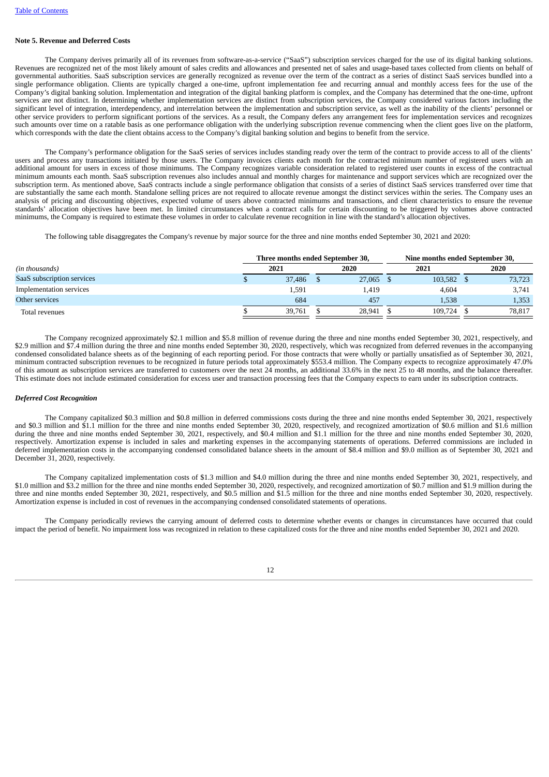# **Note 5. Revenue and Deferred Costs**

The Company derives primarily all of its revenues from software-as-a-service ("SaaS") subscription services charged for the use of its digital banking solutions. Revenues are recognized net of the most likely amount of sales credits and allowances and presented net of sales and usage-based taxes collected from clients on behalf of governmental authorities. SaaS subscription services are generally recognized as revenue over the term of the contract as a series of distinct SaaS services bundled into a single performance obligation. Clients are typically charged a one-time, upfront implementation fee and recurring annual and monthly access fees for the use of the Company's digital banking solution. Implementation and integration of the digital banking platform is complex, and the Company has determined that the one-time, upfront services are not distinct. In determining whether implementation services are distinct from subscription services, the Company considered various factors including the significant level of integration, interdependency, and interrelation between the implementation and subscription service, as well as the inability of the clients' personnel or other service providers to perform significant portions of the services. As a result, the Company defers any arrangement fees for implementation services and recognizes such amounts over time on a ratable basis as one performance obligation with the underlying subscription revenue commencing when the client goes live on the platform, which corresponds with the date the client obtains access to the Company's digital banking solution and begins to benefit from the service.

The Company's performance obligation for the SaaS series of services includes standing ready over the term of the contract to provide access to all of the clients' users and process any transactions initiated by those users. The Company invoices clients each month for the contracted minimum number of registered users with an additional amount for users in excess of those minimums. The Company recognizes variable consideration related to registered user counts in excess of the contractual minimum amounts each month. SaaS subscription revenues also includes annual and monthly charges for maintenance and support services which are recognized over the subscription term. As mentioned above, SaaS contracts include a single performance obligation that consists of a series of distinct SaaS services transferred over time that are substantially the same each month. Standalone selling prices are not required to allocate revenue amongst the distinct services within the series. The Company uses an analysis of pricing and discounting objectives, expected volume of users above contracted minimums and transactions, and client characteristics to ensure the revenue standards' allocation objectives have been met. In limited circumstances when a contract calls for certain discounting to be triggered by volumes above contracted minimums, the Company is required to estimate these volumes in order to calculate revenue recognition in line with the standard's allocation objectives.

The following table disaggregates the Company's revenue by major source for the three and nine months ended September 30, 2021 and 2020:

|                            | Three months ended September 30, |        | Nine months ended September 30, |         |  |        |
|----------------------------|----------------------------------|--------|---------------------------------|---------|--|--------|
| (in thousands)             | 2021                             | 2020   |                                 | 2021    |  | 2020   |
| SaaS subscription services | 37,486                           | 27,065 |                                 | 103,582 |  | 73,723 |
| Implementation services    | 1,591                            | 1,419  |                                 | 4,604   |  | 3,741  |
| Other services             | 684                              | 457    |                                 | 1,538   |  | 1,353  |
| Total revenues             | 39.761                           | 28.941 |                                 | 109.724 |  | 78,817 |

The Company recognized approximately \$2.1 million and \$5.8 million of revenue during the three and nine months ended September 30, 2021, respectively, and \$2.9 million and \$7.4 million during the three and nine months ended September 30, 2020, respectively, which was recognized from deferred revenues in the accompanying condensed consolidated balance sheets as of the beginning of each reporting period. For those contracts that were wholly or partially unsatisfied as of September 30, 2021, minimum contracted subscription revenues to be recognized in future periods total approximately \$553.4 million. The Company expects to recognize approximately 47.0% of this amount as subscription services are transferred to customers over the next 24 months, an additional 33.6% in the next 25 to 48 months, and the balance thereafter. This estimate does not include estimated consideration for excess user and transaction processing fees that the Company expects to earn under its subscription contracts.

### *Deferred Cost Recognition*

The Company capitalized \$0.3 million and \$0.8 million in deferred commissions costs during the three and nine months ended September 30, 2021, respectively and \$0.3 million and \$1.1 million for the three and nine months ended September 30, 2020, respectively, and recognized amortization of \$0.6 million and \$1.6 million during the three and nine months ended September 30, 2021, respectively, and \$0.4 million and \$1.1 million for the three and nine months ended September 30, 2020, respectively. Amortization expense is included in sales and marketing expenses in the accompanying statements of operations. Deferred commissions are included in deferred implementation costs in the accompanying condensed consolidated balance sheets in the amount of \$8.4 million and \$9.0 million as of September 30, 2021 and December 31, 2020, respectively.

The Company capitalized implementation costs of \$1.3 million and \$4.0 million during the three and nine months ended September 30, 2021, respectively, and \$1.0 million and \$3.2 million for the three and nine months ended September 30, 2020, respectively, and recognized amortization of \$0.7 million and \$1.9 million during the three and nine months ended September 30, 2021, respectively, and \$0.5 million and \$1.5 million for the three and nine months ended September 30, 2020, respectively. Amortization expense is included in cost of revenues in the accompanying condensed consolidated statements of operations.

The Company periodically reviews the carrying amount of deferred costs to determine whether events or changes in circumstances have occurred that could impact the period of benefit. No impairment loss was recognized in relation to these capitalized costs for the three and nine months ended September 30, 2021 and 2020.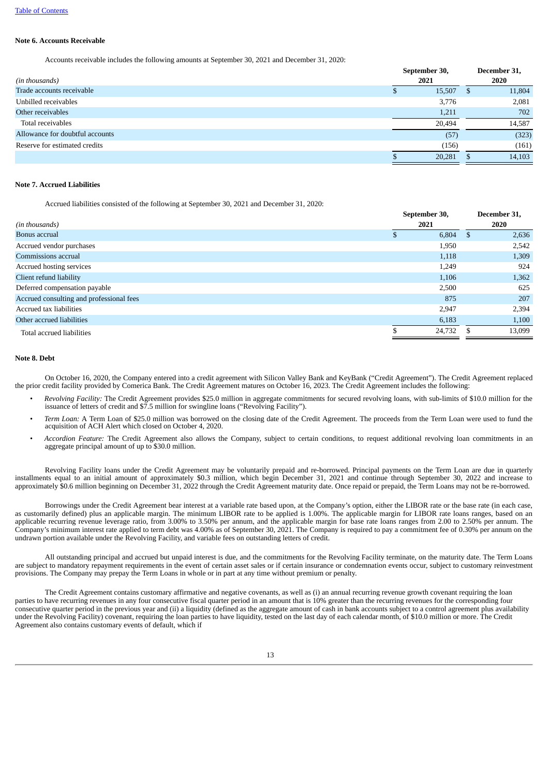# **Note 6. Accounts Receivable**

Accounts receivable includes the following amounts at September 30, 2021 and December 31, 2020:

|                                 | September 30, | December 31, |        |  |
|---------------------------------|---------------|--------------|--------|--|
| (in thousands)                  | 2021          |              | 2020   |  |
| Trade accounts receivable       | 15,507        | S            | 11,804 |  |
| Unbilled receivables            | 3,776         |              | 2,081  |  |
| Other receivables               | 1,211         |              | 702    |  |
| Total receivables               | 20,494        |              | 14,587 |  |
| Allowance for doubtful accounts | (57)          |              | (323)  |  |
| Reserve for estimated credits   | (156)         |              | (161)  |  |
|                                 | 20,281        | S            | 14,103 |  |

# **Note 7. Accrued Liabilities**

Accrued liabilities consisted of the following at September 30, 2021 and December 31, 2020:

| (in thousands)                           | September 30,<br>2021 |    | December 31,<br>2020 |
|------------------------------------------|-----------------------|----|----------------------|
| Bonus accrual                            | 6,804                 | -S | 2,636                |
| Accrued vendor purchases                 | 1,950                 |    | 2,542                |
| Commissions accrual                      | 1,118                 |    | 1,309                |
| Accrued hosting services                 | 1,249                 |    | 924                  |
| Client refund liability                  | 1,106                 |    | 1,362                |
| Deferred compensation payable            | 2,500                 |    | 625                  |
| Accrued consulting and professional fees | 875                   |    | 207                  |
| Accrued tax liabilities                  | 2,947                 |    | 2,394                |
| Other accrued liabilities                | 6,183                 |    | 1,100                |
| Total accrued liabilities                | 24,732                |    | 13,099               |
|                                          |                       |    |                      |

# **Note 8. Debt**

On October 16, 2020, the Company entered into a credit agreement with Silicon Valley Bank and KeyBank ("Credit Agreement"). The Credit Agreement replaced the prior credit facility provided by Comerica Bank. The Credit Agreement matures on October 16, 2023. The Credit Agreement includes the following:

- *Revolving Facility:* The Credit Agreement provides \$25.0 million in aggregate commitments for secured revolving loans, with sub-limits of \$10.0 million for the issuance of letters of credit and \$7.5 million for swingline loans ("Revolving Facility").
- *Term Loan:* A Term Loan of \$25.0 million was borrowed on the closing date of the Credit Agreement. The proceeds from the Term Loan were used to fund the acquisition of ACH Alert which closed on October 4, 2020.
- *Accordion Feature:* The Credit Agreement also allows the Company, subject to certain conditions, to request additional revolving loan commitments in an aggregate principal amount of up to \$30.0 million.

Revolving Facility loans under the Credit Agreement may be voluntarily prepaid and re-borrowed. Principal payments on the Term Loan are due in quarterly installments equal to an initial amount of approximately \$0.3 million, which begin December 31, 2021 and continue through September 30, 2022 and increase to approximately \$0.6 million beginning on December 31, 2022 through the Credit Agreement maturity date. Once repaid or prepaid, the Term Loans may not be re-borrowed.

Borrowings under the Credit Agreement bear interest at a variable rate based upon, at the Company's option, either the LIBOR rate or the base rate (in each case, as customarily defined) plus an applicable margin. The minimum LIBOR rate to be applied is 1.00%. The applicable margin for LIBOR rate loans ranges, based on an applicable recurring revenue leverage ratio, from 3.00% to 3.50% per annum, and the applicable margin for base rate loans ranges from 2.00 to 2.50% per annum. The Company's minimum interest rate applied to term debt was 4.00% as of September 30, 2021. The Company is required to pay a commitment fee of 0.30% per annum on the undrawn portion available under the Revolving Facility, and variable fees on outstanding letters of credit.

All outstanding principal and accrued but unpaid interest is due, and the commitments for the Revolving Facility terminate, on the maturity date. The Term Loans are subject to mandatory repayment requirements in the event of certain asset sales or if certain insurance or condemnation events occur, subject to customary reinvestment provisions. The Company may prepay the Term Loans in whole or in part at any time without premium or penalty.

The Credit Agreement contains customary affirmative and negative covenants, as well as (i) an annual recurring revenue growth covenant requiring the loan parties to have recurring revenues in any four consecutive fiscal quarter period in an amount that is 10% greater than the recurring revenues for the corresponding four consecutive quarter period in the previous year and (ii) a liquidity (defined as the aggregate amount of cash in bank accounts subject to a control agreement plus availability under the Revolving Facility) covenant, requiring the loan parties to have liquidity, tested on the last day of each calendar month, of \$10.0 million or more. The Credit Agreement also contains customary events of default, which if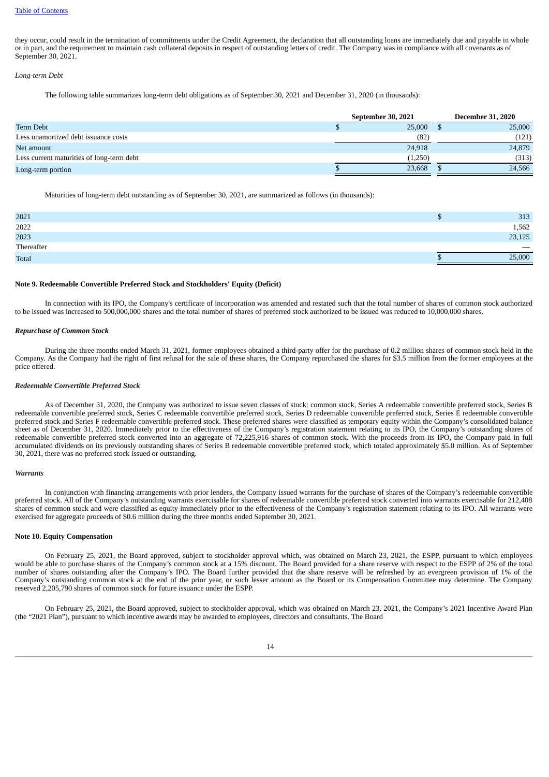they occur, could result in the termination of commitments under the Credit Agreement, the declaration that all outstanding loans are immediately due and payable in whole or in part, and the requirement to maintain cash collateral deposits in respect of outstanding letters of credit. The Company was in compliance with all covenants as of September 30, 2021.

# *Long-term Debt*

The following table summarizes long-term debt obligations as of September 30, 2021 and December 31, 2020 (in thousands):

|                                           | September 30, 2021 |         |  | <b>December 31, 2020</b> |
|-------------------------------------------|--------------------|---------|--|--------------------------|
| Term Debt                                 |                    | 25,000  |  | 25,000                   |
| Less unamortized debt issuance costs      |                    | (82)    |  | (121)                    |
| Net amount                                |                    | 24,918  |  | 24,879                   |
| Less current maturities of long-term debt |                    | (1,250) |  | (313)                    |
| Long-term portion                         |                    | 23.668  |  | 24,566                   |

Maturities of long-term debt outstanding as of September 30, 2021, are summarized as follows (in thousands):

| 2021         | 313                             |
|--------------|---------------------------------|
| 2022         | 1,562                           |
| 2023         | 23,125                          |
| Thereafter   | $\hspace{0.1mm}-\hspace{0.1mm}$ |
| <b>Total</b> | 25,000                          |
|              |                                 |

#### **Note 9. Redeemable Convertible Preferred Stock and Stockholders' Equity (Deficit)**

In connection with its IPO, the Company's certificate of incorporation was amended and restated such that the total number of shares of common stock authorized to be issued was increased to 500,000,000 shares and the total number of shares of preferred stock authorized to be issued was reduced to 10,000,000 shares.

### *Repurchase of Common Stock*

During the three months ended March 31, 2021, former employees obtained a third-party offer for the purchase of 0.2 million shares of common stock held in the Company. As the Company had the right of first refusal for the sale of these shares, the Company repurchased the shares for \$3.5 million from the former employees at the price offered.

#### *Redeemable Convertible Preferred Stock*

As of December 31, 2020, the Company was authorized to issue seven classes of stock: common stock, Series A redeemable convertible preferred stock, Series B redeemable convertible preferred stock, Series C redeemable convertible preferred stock, Series D redeemable convertible preferred stock, Series E redeemable convertible preferred stock and Series F redeemable convertible preferred stock. These preferred shares were classified as temporary equity within the Company's consolidated balance sheet as of December 31, 2020. Immediately prior to the effectiveness of the Company's registration statement relating to its IPO, the Company's outstanding shares of redeemable convertible preferred stock converted into an aggregate of 72,225,916 shares of common stock. With the proceeds from its IPO, the Company paid in full accumulated dividends on its previously outstanding shares of Series B redeemable convertible preferred stock, which totaled approximately \$5.0 million. As of September 30, 2021, there was no preferred stock issued or outstanding.

#### *Warrants*

In conjunction with financing arrangements with prior lenders, the Company issued warrants for the purchase of shares of the Company's redeemable convertible preferred stock. All of the Company's outstanding warrants exercisable for shares of redeemable convertible preferred stock converted into warrants exercisable for 212,408 shares of common stock and were classified as equity immediately prior to the effectiveness of the Company's registration statement relating to its IPO. All warrants were exercised for aggregate proceeds of \$0.6 million during the three months ended September 30, 2021.

# **Note 10. Equity Compensation**

On February 25, 2021, the Board approved, subject to stockholder approval which, was obtained on March 23, 2021, the ESPP, pursuant to which employees would be able to purchase shares of the Company's common stock at a 15% discount. The Board provided for a share reserve with respect to the ESPP of 2% of the total number of shares outstanding after the Company's IPO. The Board further provided that the share reserve will be refreshed by an evergreen provision of 1% of the Company's outstanding common stock at the end of the prior year, or such lesser amount as the Board or its Compensation Committee may determine. The Company reserved 2,205,790 shares of common stock for future issuance under the ESPP.

On February 25, 2021, the Board approved, subject to stockholder approval, which was obtained on March 23, 2021, the Company's 2021 Incentive Award Plan (the "2021 Plan"), pursuant to which incentive awards may be awarded to employees, directors and consultants. The Board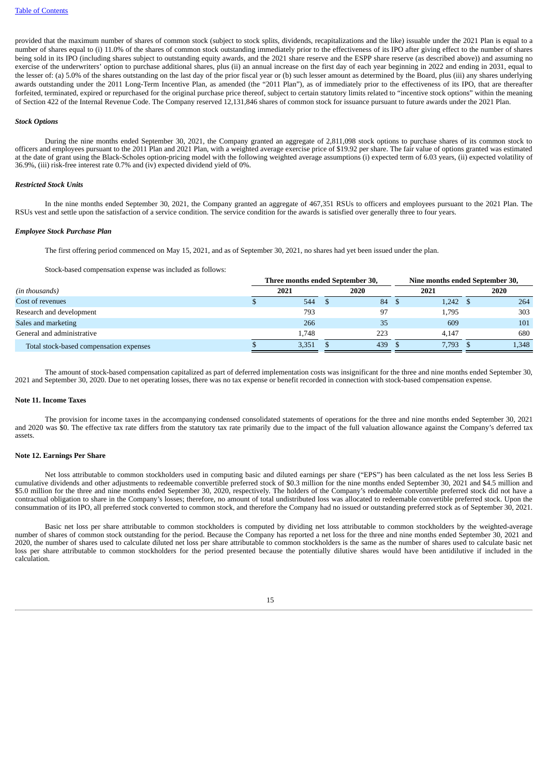provided that the maximum number of shares of common stock (subject to stock splits, dividends, recapitalizations and the like) issuable under the 2021 Plan is equal to a number of shares equal to (i) 11.0% of the shares of common stock outstanding immediately prior to the effectiveness of its IPO after giving effect to the number of shares being sold in its IPO (including shares subject to outstanding equity awards, and the 2021 share reserve and the ESPP share reserve (as described above)) and assuming no exercise of the underwriters' option to purchase additional shares, plus (ii) an annual increase on the first day of each year beginning in 2022 and ending in 2031, equal to the lesser of: (a) 5.0% of the shares outstanding on the last day of the prior fiscal year or (b) such lesser amount as determined by the Board, plus (iii) any shares underlying awards outstanding under the 2011 Long-Term Incentive Plan, as amended (the "2011 Plan"), as of immediately prior to the effectiveness of its IPO, that are thereafter forfeited, terminated, expired or repurchased for the original purchase price thereof, subject to certain statutory limits related to "incentive stock options" within the meaning of Section 422 of the Internal Revenue Code. The Company reserved 12,131,846 shares of common stock for issuance pursuant to future awards under the 2021 Plan.

#### *Stock Options*

During the nine months ended September 30, 2021, the Company granted an aggregate of 2,811,098 stock options to purchase shares of its common stock to officers and employees pursuant to the 2011 Plan and 2021 Plan, with a weighted average exercise price of \$19.92 per share. The fair value of options granted was estimated at the date of grant using the Black-Scholes option-pricing model with the following weighted average assumptions (i) expected term of 6.03 years, (ii) expected volatility of 36.9%, (iii) risk-free interest rate 0.7% and (iv) expected dividend yield of 0%.

### *Restricted Stock Units*

In the nine months ended September 30, 2021, the Company granted an aggregate of 467,351 RSUs to officers and employees pursuant to the 2021 Plan. The RSUs vest and settle upon the satisfaction of a service condition. The service condition for the awards is satisfied over generally three to four years.

#### *Employee Stock Purchase Plan*

The first offering period commenced on May 15, 2021, and as of September 30, 2021, no shares had yet been issued under the plan.

Stock-based compensation expense was included as follows:

|                                         | Three months ended September 30, |  | Nine months ended September 30, |  |                  |  |       |
|-----------------------------------------|----------------------------------|--|---------------------------------|--|------------------|--|-------|
| (in thousands)                          | 2021                             |  | 2020                            |  | 2021             |  | 2020  |
| Cost of revenues                        | 544                              |  | 84                              |  | $1,242 \quad$ \$ |  | 264   |
| Research and development                | 793                              |  | 97                              |  | 1,795            |  | 303   |
| Sales and marketing                     | 266                              |  | 35                              |  | 609              |  | 101   |
| General and administrative              | 1.748                            |  | 223                             |  | 4.147            |  | 680   |
| Total stock-based compensation expenses | 3,351                            |  | 439                             |  | 7.793 \$         |  | 1,348 |
|                                         |                                  |  |                                 |  |                  |  |       |

The amount of stock-based compensation capitalized as part of deferred implementation costs was insignificant for the three and nine months ended September 30, 2021 and September 30, 2020. Due to net operating losses, there was no tax expense or benefit recorded in connection with stock-based compensation expense.

#### **Note 11. Income Taxes**

The provision for income taxes in the accompanying condensed consolidated statements of operations for the three and nine months ended September 30, 2021 and 2020 was \$0. The effective tax rate differs from the statutory tax rate primarily due to the impact of the full valuation allowance against the Company's deferred tax assets.

### **Note 12. Earnings Per Share**

Net loss attributable to common stockholders used in computing basic and diluted earnings per share ("EPS") has been calculated as the net loss less Series B cumulative dividends and other adjustments to redeemable convertible preferred stock of \$0.3 million for the nine months ended September 30, 2021 and \$4.5 million and \$5.0 million for the three and nine months ended September 30, 2020, respectively. The holders of the Company's redeemable convertible preferred stock did not have a contractual obligation to share in the Company's losses; therefore, no amount of total undistributed loss was allocated to redeemable convertible preferred stock. Upon the consummation of its IPO, all preferred stock converted to common stock, and therefore the Company had no issued or outstanding preferred stock as of September 30, 2021.

Basic net loss per share attributable to common stockholders is computed by dividing net loss attributable to common stockholders by the weighted-average number of shares of common stock outstanding for the period. Because the Company has reported a net loss for the three and nine months ended September 30, 2021 and 2020, the number of shares used to calculate diluted net loss per share attributable to common stockholders is the same as the number of shares used to calculate basic net loss per share attributable to common stockholders for the period presented because the potentially dilutive shares would have been antidilutive if included in the calculation.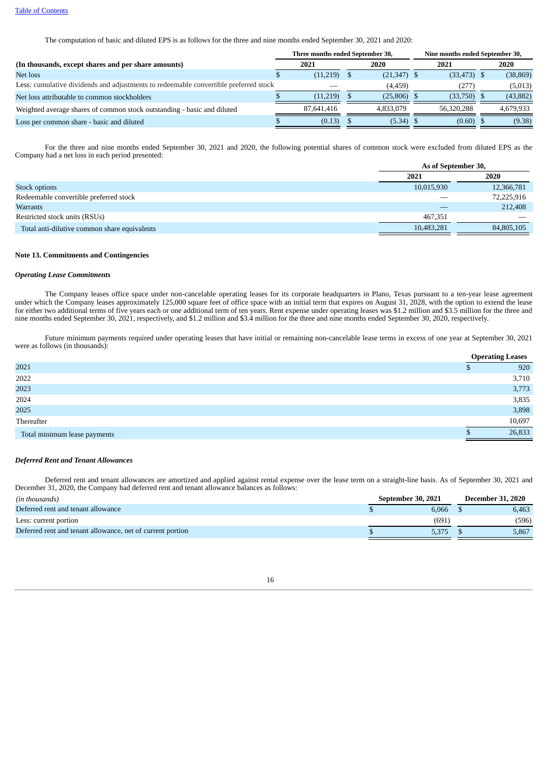The computation of basic and diluted EPS is as follows for the three and nine months ended September 30, 2021 and 2020:

|                                                                                      | Three months ended September 30, |            |      |               |  | Nine months ended September 30, |      |           |  |
|--------------------------------------------------------------------------------------|----------------------------------|------------|------|---------------|--|---------------------------------|------|-----------|--|
| (In thousands, except shares and per share amounts)                                  |                                  | 2021       | 2020 |               |  | 2021                            | 2020 |           |  |
| Net loss                                                                             |                                  | (11,219)   |      | $(21,347)$ \$ |  | $(33, 473)$ \$                  |      | (38, 869) |  |
| Less: cumulative dividends and adjustments to redeemable convertible preferred stock |                                  |            |      | (4, 459)      |  | (277)                           |      | (5,013)   |  |
| Net loss attributable to common stockholders                                         |                                  | (11,219)   |      | $(25,806)$ \$ |  | $(33,750)$ \$                   |      | (43, 882) |  |
| Weighted average shares of common stock outstanding - basic and diluted              |                                  | 87,641,416 |      | 4.833.079     |  | 56,320,288                      |      | 4,679,933 |  |
| Loss per common share - basic and diluted                                            |                                  | (0.13)     |      | $(5.34)$ \$   |  | $(0.60)$ \$                     |      | (9.38)    |  |

For the three and nine months ended September 30, 2021 and 2020, the following potential shares of common stock were excluded from diluted EPS as the Company had a net loss in each period presented:

|                                              | As of September 30, |                          |
|----------------------------------------------|---------------------|--------------------------|
|                                              | 2021                | 2020                     |
| Stock options                                | 10,015,930          | 12,366,781               |
| Redeemable convertible preferred stock       |                     | 72,225,916               |
| <b>Warrants</b>                              |                     | 212,408                  |
| Restricted stock units (RSUs)                | 467.351             | $\overline{\phantom{a}}$ |
| Total anti-dilutive common share equivalents | 10,483,281          | 84,805,105               |

# **Note 13. Commitments and Contingencies**

#### *Operating Lease Commitments*

The Company leases office space under non-cancelable operating leases for its corporate headquarters in Plano, Texas pursuant to a ten-year lease agreement under which the Company leases approximately 125,000 square feet of office space with an initial term that expires on August 31, 2028, with the option to extend the lease for either two additional terms of five years each or one additional term of ten years. Rent expense under operating leases was \$1.2 million and \$3.5 million for the three and nine months ended September 30, 2021, respectively, and \$1.2 million and \$3.4 million for the three and nine months ended September 30, 2020, respectively.

Future minimum payments required under operating leases that have initial or remaining non-cancelable lease terms in excess of one year at September 30, 2021 were as follows (in thousands):

|                              | <b>Operating Leases</b> |
|------------------------------|-------------------------|
| 2021                         | 920                     |
| 2022                         | 3,710                   |
| 2023                         | 3,773                   |
| 2024                         | 3,835                   |
| 2025                         | 3,898                   |
| Thereafter                   | 10,697                  |
| Total minimum lease payments | 26,833                  |

# *Deferred Rent and Tenant Allowances*

Deferred rent and tenant allowances are amortized and applied against rental expense over the lease term on a straight-line basis. As of September 30, 2021 and December 31, 2020, the Company had deferred rent and tenant allowance balances as follows:

| (in thousands)                                             | September 30, 2021 | <b>December 31, 2020</b> |
|------------------------------------------------------------|--------------------|--------------------------|
| Deferred rent and tenant allowance                         | 6.066              | 6,463                    |
| Less: current portion                                      | (691)              | (596)                    |
| Deferred rent and tenant allowance, net of current portion | 5.375              | 5,867                    |

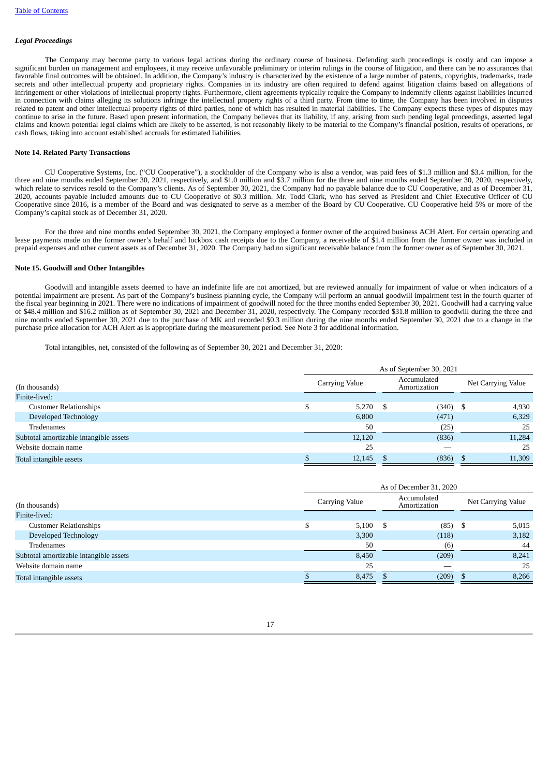### *Legal Proceedings*

The Company may become party to various legal actions during the ordinary course of business. Defending such proceedings is costly and can impose a significant burden on management and employees, it may receive unfavorable preliminary or interim rulings in the course of litigation, and there can be no assurances that favorable final outcomes will be obtained. In addition, the Company's industry is characterized by the existence of a large number of patents, copyrights, trademarks, trade secrets and other intellectual property and proprietary rights. Companies in its industry are often required to defend against litigation claims based on allegations of infringement or other violations of intellectual property rights. Furthermore, client agreements typically require the Company to indemnify clients against liabilities incurred in connection with claims alleging its solutions infringe the intellectual property rights of a third party. From time to time, the Company has been involved in disputes related to patent and other intellectual property rights of third parties, none of which has resulted in material liabilities. The Company expects these types of disputes may continue to arise in the future. Based upon present information, the Company believes that its liability, if any, arising from such pending legal proceedings, asserted legal claims and known potential legal claims which are likely to be asserted, is not reasonably likely to be material to the Company's financial position, results of operations, or cash flows, taking into account established accruals for estimated liabilities.

# **Note 14. Related Party Transactions**

CU Cooperative Systems, Inc. ("CU Cooperative"), a stockholder of the Company who is also a vendor, was paid fees of \$1.3 million and \$3.4 million, for the three and nine months ended September 30, 2021, respectively, and \$1.0 million and \$3.7 million for the three and nine months ended September 30, 2020, respectively, which relate to services resold to the Company's clients. As of September 30, 2021, the Company had no payable balance due to CU Cooperative, and as of December 31, 2020, accounts payable included amounts due to CU Cooperative of \$0.3 million. Mr. Todd Clark, who has served as President and Chief Executive Officer of CU Cooperative since 2016, is a member of the Board and was designated to serve as a member of the Board by CU Cooperative. CU Cooperative held 5% or more of the Company's capital stock as of December 31, 2020.

For the three and nine months ended September 30, 2021, the Company employed a former owner of the acquired business ACH Alert. For certain operating and lease payments made on the former owner's behalf and lockbox cash receipts due to the Company, a receivable of \$1.4 million from the former owner was included in prepaid expenses and other current assets as of December 31, 2020. The Company had no significant receivable balance from the former owner as of September 30, 2021.

# **Note 15. Goodwill and Other Intangibles**

Goodwill and intangible assets deemed to have an indefinite life are not amortized, but are reviewed annually for impairment of value or when indicators of a potential impairment are present. As part of the Company's business planning cycle, the Company will perform an annual goodwill impairment test in the fourth quarter of the fiscal year beginning in 2021. There were no indications of impairment of goodwill noted for the three months ended September 30, 2021. Goodwill had a carrying value of \$48.4 million and \$16.2 million as of September 30, 2021 and December 31, 2020, respectively. The Company recorded \$31.8 million to goodwill during the three and nine months ended September 30, 2021 due to the purchase of MK and recorded \$0.3 million during the nine months ended September 30, 2021 due to a change in the purchase price allocation for ACH Alert as is appropriate during the measurement period. See Note 3 for additional information.

Total intangibles, net, consisted of the following as of September 30, 2021 and December 31, 2020:

|                                        | As of September 30, 2021 |                             |                    |  |  |  |  |  |
|----------------------------------------|--------------------------|-----------------------------|--------------------|--|--|--|--|--|
| (In thousands)                         | Carrying Value           | Accumulated<br>Amortization | Net Carrying Value |  |  |  |  |  |
| Finite-lived:                          |                          |                             |                    |  |  |  |  |  |
| <b>Customer Relationships</b>          | 5,270                    | $(340)$ \$<br>-S            | 4,930              |  |  |  |  |  |
| Developed Technology                   | 6,800                    | (471)                       | 6,329              |  |  |  |  |  |
| Tradenames                             | 50                       | (25)                        | 25                 |  |  |  |  |  |
| Subtotal amortizable intangible assets | 12,120                   | (836)                       | 11,284             |  |  |  |  |  |
| Website domain name                    | 25                       |                             | 25                 |  |  |  |  |  |
| Total intangible assets                | 12,145                   | (836)                       | 11,309             |  |  |  |  |  |
|                                        |                          |                             |                    |  |  |  |  |  |

|                                        | As of December 31, 2020 |                             |                    |  |  |  |  |
|----------------------------------------|-------------------------|-----------------------------|--------------------|--|--|--|--|
| (In thousands)                         | Carrying Value          | Accumulated<br>Amortization | Net Carrying Value |  |  |  |  |
| Finite-lived:                          |                         |                             |                    |  |  |  |  |
| <b>Customer Relationships</b>          | 5,100                   | (85)<br>-S                  | 5,015<br>- \$      |  |  |  |  |
| Developed Technology                   | 3,300                   | (118)                       | 3,182              |  |  |  |  |
| Tradenames                             | 50                      | (6)                         | 44                 |  |  |  |  |
| Subtotal amortizable intangible assets | 8,450                   | (209)                       | 8,241              |  |  |  |  |
| Website domain name                    | 25                      |                             | 25                 |  |  |  |  |
| Total intangible assets                | 8,475                   | (209)                       | 8,266              |  |  |  |  |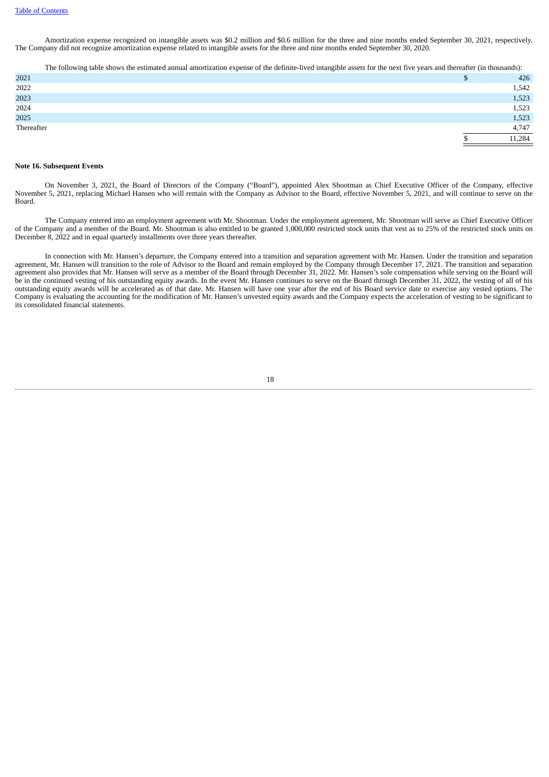Amortization expense recognized on intangible assets was \$0.2 million and \$0.6 million for the three and nine months ended September 30, 2021, respectively. The Company did not recognize amortization expense related to intangible assets for the three and nine months ended September 30, 2020.

The following table shows the estimated annual amortization expense of the definite-lived intangible assets for the next five years and thereafter (in thousands):

| 2021       | 426    |
|------------|--------|
| 2022       | 1,542  |
| 2023       | 1,523  |
| 2024       | 1,523  |
| 2025       | 1,523  |
| Thereafter | 4,747  |
|            | 11,284 |

# **Note 16. Subsequent Events**

On November 3, 2021, the Board of Directors of the Company ("Board"), appointed Alex Shootman as Chief Executive Officer of the Company, effective November 5, 2021, replacing Michael Hansen who will remain with the Company as Advisor to the Board, effective November 5, 2021, and will continue to serve on the Board.

The Company entered into an employment agreement with Mr. Shootman. Under the employment agreement, Mr. Shootman will serve as Chief Executive Officer of the Company and a member of the Board. Mr. Shootman is also entitled to be granted 1,000,000 restricted stock units that vest as to 25% of the restricted stock units on December 8, 2022 and in equal quarterly installments over three years thereafter.

<span id="page-19-0"></span>In connection with Mr. Hansen's departure, the Company entered into a transition and separation agreement with Mr. Hansen. Under the transition and separation agreement, Mr. Hansen will transition to the role of Advisor to the Board and remain employed by the Company through December 17, 2021. The transition and separation agreement also provides that Mr. Hansen will serve as a member of the Board through December 31, 2022. Mr. Hansen's sole compensation while serving on the Board will be in the continued vesting of his outstanding equity awards. In the event Mr. Hansen continues to serve on the Board through December 31, 2022, the vesting of all of his outstanding equity awards will be accelerated as of that date. Mr. Hansen will have one year after the end of his Board service date to exercise any vested options. The Company is evaluating the accounting for the modification of Mr. Hansen's unvested equity awards and the Company expects the acceleration of vesting to be significant to its consolidated financial statements.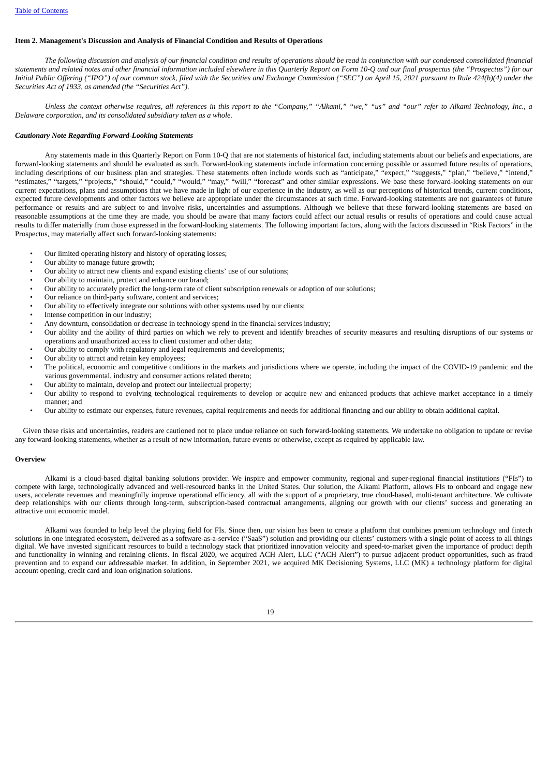# **Item 2. Management's Discussion and Analysis of Financial Condition and Results of Operations**

*The following discussion and analysis of our financial condition and results of operations should be read in conjunction with our condensed consolidated financial statements and related notes and other financial information included elsewhere in this Quarterly Report on Form 10-Q and our final prospectus (the "Prospectus") for our Initial Public Offering ("IPO") of our common stock, filed with the Securities and Exchange Commission* ("SEC") on April 15, 2021 pursuant to Rule 424(b)(4) under the *Securities Act of 1933, as amended (the "Securities Act").*

*Unless the context otherwise requires, all references in this report to the "Company," "Alkami," "we," "us" and "our" refer to Alkami Technology, Inc., a Delaware corporation, and its consolidated subsidiary taken as a whole.*

# *Cautionary Note Regarding Forward-Looking Statements*

Any statements made in this Quarterly Report on Form 10-Q that are not statements of historical fact, including statements about our beliefs and expectations, are forward-looking statements and should be evaluated as such. Forward-looking statements include information concerning possible or assumed future results of operations, including descriptions of our business plan and strategies. These statements often include words such as "anticipate," "expect," "suggests," "plan," "believe," "intend," "estimates," "targets," "projects," "should," "could," "would," "may," "will," "forecast" and other similar expressions. We base these forward-looking statements on our current expectations, plans and assumptions that we have made in light of our experience in the industry, as well as our perceptions of historical trends, current conditions, expected future developments and other factors we believe are appropriate under the circumstances at such time. Forward-looking statements are not guarantees of future performance or results and are subject to and involve risks, uncertainties and assumptions. Although we believe that these forward-looking statements are based on reasonable assumptions at the time they are made, you should be aware that many factors could affect our actual results or results of operations and could cause actual results to differ materially from those expressed in the forward-looking statements. The following important factors, along with the factors discussed in "Risk Factors" in the Prospectus, may materially affect such forward-looking statements:

- Our limited operating history and history of operating losses;
- Our ability to manage future growth;
- Our ability to attract new clients and expand existing clients' use of our solutions;
- Our ability to maintain, protect and enhance our brand;
- Our ability to accurately predict the long-term rate of client subscription renewals or adoption of our solutions;
- Our reliance on third-party software, content and services;
- Our ability to effectively integrate our solutions with other systems used by our clients;
- Intense competition in our industry;
- Any downturn, consolidation or decrease in technology spend in the financial services industry;
- Our ability and the ability of third parties on which we rely to prevent and identify breaches of security measures and resulting disruptions of our systems or operations and unauthorized access to client customer and other data;
- Our ability to comply with regulatory and legal requirements and developments;
- Our ability to attract and retain key employees;
- The political, economic and competitive conditions in the markets and jurisdictions where we operate, including the impact of the COVID-19 pandemic and the various governmental, industry and consumer actions related thereto;
- Our ability to maintain, develop and protect our intellectual property;
- Our ability to respond to evolving technological requirements to develop or acquire new and enhanced products that achieve market acceptance in a timely manner; and
- Our ability to estimate our expenses, future revenues, capital requirements and needs for additional financing and our ability to obtain additional capital.

Given these risks and uncertainties, readers are cautioned not to place undue reliance on such forward-looking statements. We undertake no obligation to update or revise any forward-looking statements, whether as a result of new information, future events or otherwise, except as required by applicable law.

### **Overview**

Alkami is a cloud-based digital banking solutions provider. We inspire and empower community, regional and super-regional financial institutions ("FIs") to compete with large, technologically advanced and well-resourced banks in the United States. Our solution, the Alkami Platform, allows FIs to onboard and engage new users, accelerate revenues and meaningfully improve operational efficiency, all with the support of a proprietary, true cloud-based, multi-tenant architecture. We cultivate deep relationships with our clients through long-term, subscription-based contractual arrangements, aligning our growth with our clients' success and generating an attractive unit economic model.

Alkami was founded to help level the playing field for FIs. Since then, our vision has been to create a platform that combines premium technology and fintech solutions in one integrated ecosystem, delivered as a software-as-a-service ("SaaS") solution and providing our clients' customers with a single point of access to all things digital. We have invested significant resources to build a technology stack that prioritized innovation velocity and speed-to-market given the importance of product depth and functionality in winning and retaining clients. In fiscal 2020, we acquired ACH Alert, LLC ("ACH Alert") to pursue adjacent product opportunities, such as fraud prevention and to expand our addressable market. In addition, in September 2021, we acquired MK Decisioning Systems, LLC (MK) a technology platform for digital account opening, credit card and loan origination solutions.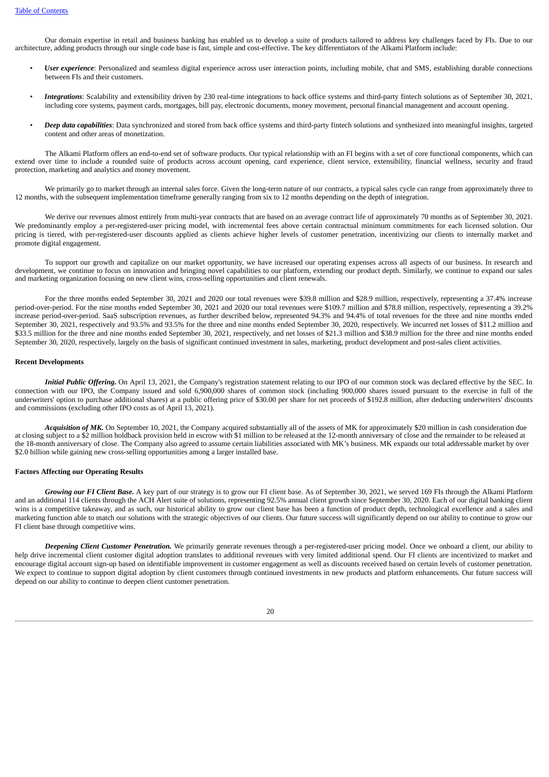Our domain expertise in retail and business banking has enabled us to develop a suite of products tailored to address key challenges faced by FIs. Due to our architecture, adding products through our single code base is fast, simple and cost-effective. The key differentiators of the Alkami Platform include:

- *User experience*: Personalized and seamless digital experience across user interaction points, including mobile, chat and SMS, establishing durable connections between FIs and their customers.
- *Integrations*: Scalability and extensibility driven by 230 real-time integrations to back office systems and third-party fintech solutions as of September 30, 2021, including core systems, payment cards, mortgages, bill pay, electronic documents, money movement, personal financial management and account opening.
- *Deep data capabilities*: Data synchronized and stored from back office systems and third-party fintech solutions and synthesized into meaningful insights, targeted content and other areas of monetization.

The Alkami Platform offers an end-to-end set of software products. Our typical relationship with an FI begins with a set of core functional components, which can extend over time to include a rounded suite of products across account opening, card experience, client service, extensibility, financial wellness, security and fraud protection, marketing and analytics and money movement.

We primarily go to market through an internal sales force. Given the long-term nature of our contracts, a typical sales cycle can range from approximately three to 12 months, with the subsequent implementation timeframe generally ranging from six to 12 months depending on the depth of integration.

We derive our revenues almost entirely from multi-year contracts that are based on an average contract life of approximately 70 months as of September 30, 2021. We predominantly employ a per-registered-user pricing model, with incremental fees above certain contractual minimum commitments for each licensed solution. Our pricing is tiered, with per-registered-user discounts applied as clients achieve higher levels of customer penetration, incentivizing our clients to internally market and promote digital engagement.

To support our growth and capitalize on our market opportunity, we have increased our operating expenses across all aspects of our business. In research and development, we continue to focus on innovation and bringing novel capabilities to our platform, extending our product depth. Similarly, we continue to expand our sales and marketing organization focusing on new client wins, cross-selling opportunities and client renewals.

For the three months ended September 30, 2021 and 2020 our total revenues were \$39.8 million and \$28.9 million, respectively, representing a 37.4% increase period-over-period. For the nine months ended September 30, 2021 and 2020 our total revenues were \$109.7 million and \$78.8 million, respectively, representing a 39.2% increase period-over-period. SaaS subscription revenues, as further described below, represented 94.3% and 94.4% of total revenues for the three and nine months ended September 30, 2021, respectively and 93.5% and 93.5% for the three and nine months ended September 30, 2020, respectively. We incurred net losses of \$11.2 million and \$33.5 million for the three and nine months ended September 30, 2021, respectively, and net losses of \$21.3 million and \$38.9 million for the three and nine months ended September 30, 2020, respectively, largely on the basis of significant continued investment in sales, marketing, product development and post-sales client activities.

### **Recent Developments**

*Initial Public Offering.* On April 13, 2021, the Company's registration statement relating to our IPO of our common stock was declared effective by the SEC. In connection with our IPO, the Company issued and sold 6,900,000 shares of common stock (including 900,000 shares issued pursuant to the exercise in full of the underwriters' option to purchase additional shares) at a public offering price of \$30.00 per share for net proceeds of \$192.8 million, after deducting underwriters' discounts and commissions (excluding other IPO costs as of April 13, 2021).

*Acquisition of MK.* On September 10, 2021, the Company acquired substantially all of the assets of MK for approximately \$20 million in cash consideration due at closing subject to a \$2 million holdback provision held in escrow with \$1 million to be released at the 12-month anniversary of close and the remainder to be released at the 18-month anniversary of close. The Company also agreed to assume certain liabilities associated with MK's business. MK expands our total addressable market by over \$2.0 billion while gaining new cross-selling opportunities among a larger installed base.

# **Factors Affecting our Operating Results**

*Growing our FI Client Base.* A key part of our strategy is to grow our FI client base. As of September 30, 2021, we served 169 FIs through the Alkami Platform and an additional 114 clients through the ACH Alert suite of solutions, representing 92.5% annual client growth since September 30, 2020. Each of our digital banking client wins is a competitive takeaway, and as such, our historical ability to grow our client base has been a function of product depth, technological excellence and a sales and marketing function able to match our solutions with the strategic objectives of our clients. Our future success will significantly depend on our ability to continue to grow our FI client base through competitive wins.

*Deepening Client Customer Penetration.* We primarily generate revenues through a per-registered-user pricing model. Once we onboard a client, our ability to help drive incremental client customer digital adoption translates to additional revenues with very limited additional spend. Our FI clients are incentivized to market and encourage digital account sign-up based on identifiable improvement in customer engagement as well as discounts received based on certain levels of customer penetration. We expect to continue to support digital adoption by client customers through continued investments in new products and platform enhancements. Our future success will depend on our ability to continue to deepen client customer penetration.

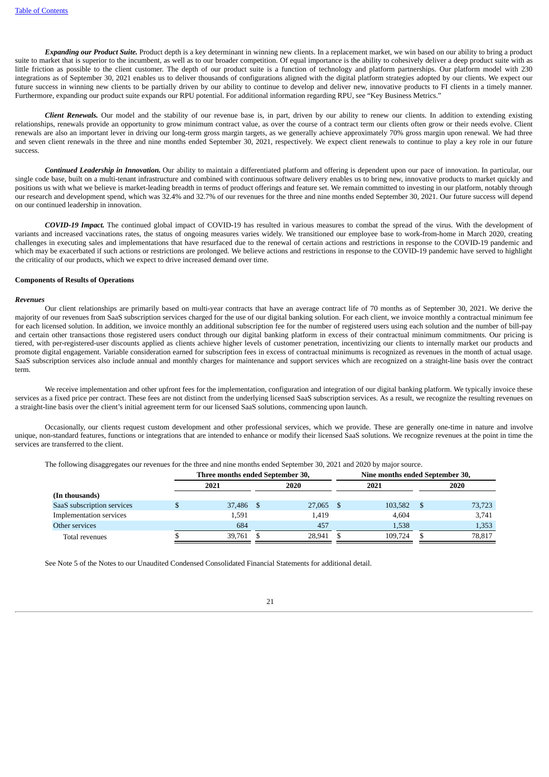*Expanding our Product Suite.* Product depth is a key determinant in winning new clients. In a replacement market, we win based on our ability to bring a product suite to market that is superior to the incumbent, as well as to our broader competition. Of equal importance is the ability to cohesively deliver a deep product suite with as little friction as possible to the client customer. The depth of our product suite is a function of technology and platform partnerships. Our platform model with 230 integrations as of September 30, 2021 enables us to deliver thousands of configurations aligned with the digital platform strategies adopted by our clients. We expect our future success in winning new clients to be partially driven by our ability to continue to develop and deliver new, innovative products to FI clients in a timely manner. Furthermore, expanding our product suite expands our RPU potential. For additional information regarding RPU, see "Key Business Metrics."

*Client Renewals.* Our model and the stability of our revenue base is, in part, driven by our ability to renew our clients. In addition to extending existing relationships, renewals provide an opportunity to grow minimum contract value, as over the course of a contract term our clients often grow or their needs evolve. Client renewals are also an important lever in driving our long-term gross margin targets, as we generally achieve approximately 70% gross margin upon renewal. We had three and seven client renewals in the three and nine months ended September 30, 2021, respectively. We expect client renewals to continue to play a key role in our future success.

*Continued Leadership in Innovation.* Our ability to maintain a differentiated platform and offering is dependent upon our pace of innovation. In particular, our single code base, built on a multi-tenant infrastructure and combined with continuous software delivery enables us to bring new, innovative products to market quickly and positions us with what we believe is market-leading breadth in terms of product offerings and feature set. We remain committed to investing in our platform, notably through our research and development spend, which was 32.4% and 32.7% of our revenues for the three and nine months ended September 30, 2021. Our future success will depend on our continued leadership in innovation.

*COVID-19 Impact.* The continued global impact of COVID-19 has resulted in various measures to combat the spread of the virus. With the development of variants and increased vaccinations rates, the status of ongoing measures varies widely. We transitioned our employee base to work-from-home in March 2020, creating challenges in executing sales and implementations that have resurfaced due to the renewal of certain actions and restrictions in response to the COVID-19 pandemic and which may be exacerbated if such actions or restrictions are prolonged. We believe actions and restrictions in response to the COVID-19 pandemic have served to highlight the criticality of our products, which we expect to drive increased demand over time.

#### **Components of Results of Operations**

#### *Revenues*

Our client relationships are primarily based on multi-year contracts that have an average contract life of 70 months as of September 30, 2021. We derive the majority of our revenues from SaaS subscription services charged for the use of our digital banking solution. For each client, we invoice monthly a contractual minimum fee for each licensed solution. In addition, we invoice monthly an additional subscription fee for the number of registered users using each solution and the number of bill-pay and certain other transactions those registered users conduct through our digital banking platform in excess of their contractual minimum commitments. Our pricing is tiered, with per-registered-user discounts applied as clients achieve higher levels of customer penetration, incentivizing our clients to internally market our products and promote digital engagement. Variable consideration earned for subscription fees in excess of contractual minimums is recognized as revenues in the month of actual usage. SaaS subscription services also include annual and monthly charges for maintenance and support services which are recognized on a straight-line basis over the contract term.

We receive implementation and other upfront fees for the implementation, configuration and integration of our digital banking platform. We typically invoice these services as a fixed price per contract. These fees are not distinct from the underlying licensed SaaS subscription services. As a result, we recognize the resulting revenues on a straight-line basis over the client's initial agreement term for our licensed SaaS solutions, commencing upon launch.

Occasionally, our clients request custom development and other professional services, which we provide. These are generally one-time in nature and involve unique, non-standard features, functions or integrations that are intended to enhance or modify their licensed SaaS solutions. We recognize revenues at the point in time the services are transferred to the client.

The following disaggregates our revenues for the three and nine months ended September 30, 2021 and 2020 by major source.

|                            | Three months ended September 30, |      |        |     |         | Nine months ended September 30, |        |  |  |
|----------------------------|----------------------------------|------|--------|-----|---------|---------------------------------|--------|--|--|
|                            | 2021                             | 2020 |        |     | 2021    |                                 | 2020   |  |  |
| (In thousands)             |                                  |      |        |     |         |                                 |        |  |  |
| SaaS subscription services | 37,486 \$                        |      | 27,065 | - S | 103,582 | -S                              | 73,723 |  |  |
| Implementation services    | 1,591                            |      | 1.419  |     | 4,604   |                                 | 3,741  |  |  |
| Other services             | 684                              |      | 457    |     | 1,538   |                                 | 1,353  |  |  |
| Total revenues             | 39,761 \$                        |      | 28.941 |     | 109.724 |                                 | 78.817 |  |  |

See Note 5 of the Notes to our Unaudited Condensed Consolidated Financial Statements for additional detail.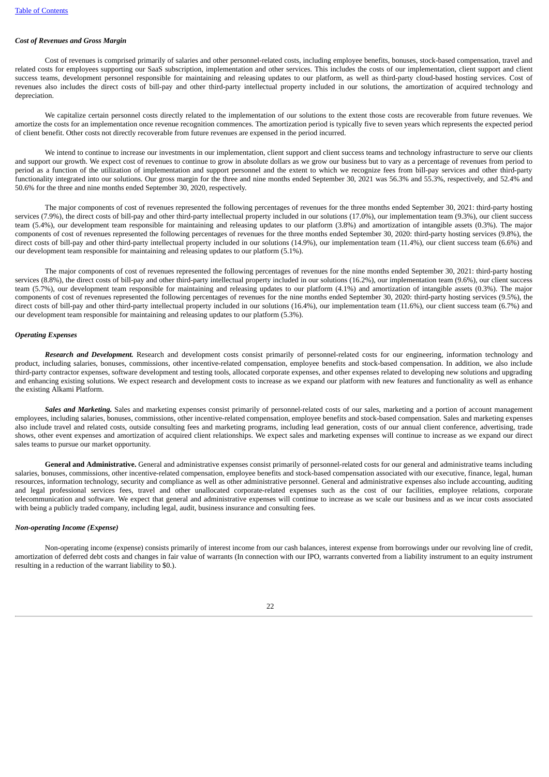#### *Cost of Revenues and Gross Margin*

Cost of revenues is comprised primarily of salaries and other personnel-related costs, including employee benefits, bonuses, stock-based compensation, travel and related costs for employees supporting our SaaS subscription, implementation and other services. This includes the costs of our implementation, client support and client success teams, development personnel responsible for maintaining and releasing updates to our platform, as well as third-party cloud-based hosting services. Cost of revenues also includes the direct costs of bill-pay and other third-party intellectual property included in our solutions, the amortization of acquired technology and depreciation.

We capitalize certain personnel costs directly related to the implementation of our solutions to the extent those costs are recoverable from future revenues. We amortize the costs for an implementation once revenue recognition commences. The amortization period is typically five to seven years which represents the expected period of client benefit. Other costs not directly recoverable from future revenues are expensed in the period incurred.

We intend to continue to increase our investments in our implementation, client support and client success teams and technology infrastructure to serve our clients and support our growth. We expect cost of revenues to continue to grow in absolute dollars as we grow our business but to vary as a percentage of revenues from period to period as a function of the utilization of implementation and support personnel and the extent to which we recognize fees from bill-pay services and other third-party functionality integrated into our solutions. Our gross margin for the three and nine months ended September 30, 2021 was 56.3% and 55.3%, respectively, and 52.4% and 50.6% for the three and nine months ended September 30, 2020, respectively.

The major components of cost of revenues represented the following percentages of revenues for the three months ended September 30, 2021: third-party hosting services (7.9%), the direct costs of bill-pay and other third-party intellectual property included in our solutions (17.0%), our implementation team (9.3%), our client success team (5.4%), our development team responsible for maintaining and releasing updates to our platform (3.8%) and amortization of intangible assets (0.3%). The major components of cost of revenues represented the following percentages of revenues for the three months ended September 30, 2020: third-party hosting services (9.8%), the direct costs of bill-pay and other third-party intellectual property included in our solutions (14.9%), our implementation team (11.4%), our client success team (6.6%) and our development team responsible for maintaining and releasing updates to our platform (5.1%).

The major components of cost of revenues represented the following percentages of revenues for the nine months ended September 30, 2021: third-party hosting services (8.8%), the direct costs of bill-pay and other third-party intellectual property included in our solutions (16.2%), our implementation team (9.6%), our client success team (5.7%), our development team responsible for maintaining and releasing updates to our platform (4.1%) and amortization of intangible assets (0.3%). The major components of cost of revenues represented the following percentages of revenues for the nine months ended September 30, 2020: third-party hosting services (9.5%), the direct costs of bill-pay and other third-party intellectual property included in our solutions (16.4%), our implementation team (11.6%), our client success team (6.7%) and our development team responsible for maintaining and releasing updates to our platform (5.3%).

#### *Operating Expenses*

*Research and Development.* Research and development costs consist primarily of personnel-related costs for our engineering, information technology and product, including salaries, bonuses, commissions, other incentive-related compensation, employee benefits and stock-based compensation. In addition, we also include third-party contractor expenses, software development and testing tools, allocated corporate expenses, and other expenses related to developing new solutions and upgrading and enhancing existing solutions. We expect research and development costs to increase as we expand our platform with new features and functionality as well as enhance the existing Alkami Platform.

Sales and Marketing. Sales and marketing expenses consist primarily of personnel-related costs of our sales, marketing and a portion of account management employees, including salaries, bonuses, commissions, other incentive-related compensation, employee benefits and stock-based compensation. Sales and marketing expenses also include travel and related costs, outside consulting fees and marketing programs, including lead generation, costs of our annual client conference, advertising, trade shows, other event expenses and amortization of acquired client relationships. We expect sales and marketing expenses will continue to increase as we expand our direct sales teams to pursue our market opportunity.

General and Administrative. General and administrative expenses consist primarily of personnel-related costs for our general and administrative teams including salaries, bonuses, commissions, other incentive-related compensation, employee benefits and stock-based compensation associated with our executive, finance, legal, human resources, information technology, security and compliance as well as other administrative personnel. General and administrative expenses also include accounting, auditing and legal professional services fees, travel and other unallocated corporate-related expenses such as the cost of our facilities, employee relations, corporate telecommunication and software. We expect that general and administrative expenses will continue to increase as we scale our business and as we incur costs associated with being a publicly traded company, including legal, audit, business insurance and consulting fees.

### *Non-operating Income (Expense)*

Non-operating income (expense) consists primarily of interest income from our cash balances, interest expense from borrowings under our revolving line of credit, amortization of deferred debt costs and changes in fair value of warrants (In connection with our IPO, warrants converted from a liability instrument to an equity instrument resulting in a reduction of the warrant liability to \$0.).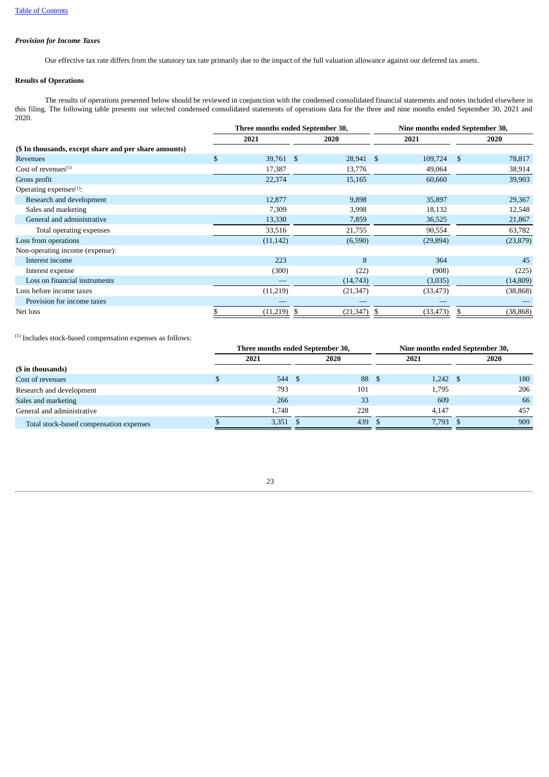# *Provision for Income Taxes*

Our effective tax rate differs from the statutory tax rate primarily due to the impact of the full valuation allowance against our deferred tax assets.

# **Results of Operations**

The results of operations presented below should be reviewed in conjunction with the condensed consolidated financial statements and notes included elsewhere in this filing. The following table presents our selected condensed consolidated statements of operations data for the three and nine months ended September 30, 2021 and 2020.

|    | 2021      |     | 2020      |                                  | 2021      |    | 2020                            |  |
|----|-----------|-----|-----------|----------------------------------|-----------|----|---------------------------------|--|
|    |           |     |           |                                  |           |    |                                 |  |
| S. |           |     |           |                                  | 109,724   | S. | 78,817                          |  |
|    | 17,387    |     | 13,776    |                                  | 49,064    |    | 38,914                          |  |
|    | 22,374    |     | 15,165    |                                  | 60,660    |    | 39,903                          |  |
|    |           |     |           |                                  |           |    |                                 |  |
|    | 12,877    |     | 9,898     |                                  | 35,897    |    | 29,367                          |  |
|    | 7,309     |     | 3,998     |                                  | 18,132    |    | 12,548                          |  |
|    | 13,330    |     | 7,859     |                                  | 36,525    |    | 21,867                          |  |
|    | 33,516    |     | 21,755    |                                  | 90,554    |    | 63,782                          |  |
|    | (11, 142) |     | (6,590)   |                                  | (29, 894) |    | (23, 879)                       |  |
|    |           |     |           |                                  |           |    |                                 |  |
|    | 223       |     | 8         |                                  | 364       |    | 45                              |  |
|    | (300)     |     | (22)      |                                  | (908)     |    | (225)                           |  |
|    |           |     | (14,743)  |                                  | (3,035)   |    | (14,809)                        |  |
|    | (11,219)  |     | (21, 347) |                                  | (33, 473) |    | (38, 868)                       |  |
|    |           |     |           |                                  |           |    |                                 |  |
|    | (11,219)  | - S | (21, 347) |                                  | (33,473)  |    | (38, 868)                       |  |
|    |           |     | 39,761 \$ | Three months ended September 30, | 28,941 \$ |    | Nine months ended September 30, |  |

 $<sup>(1)</sup>$  Includes stock-based compensation expenses as follows:</sup>

|      |       |  |                                | Nine months ended September 30,  |       |  |                  |  |
|------|-------|--|--------------------------------|----------------------------------|-------|--|------------------|--|
| 2021 |       |  | 2020                           | 2021                             |       |  | 2020             |  |
|      |       |  |                                |                                  |       |  |                  |  |
|      |       |  | 88                             | - 5                              |       |  | 180              |  |
|      | 793   |  | 101                            |                                  | 1,795 |  | 206              |  |
|      | 266   |  | 33                             |                                  | 609   |  | 66               |  |
|      | 1.748 |  | 228                            |                                  | 4.147 |  | 457              |  |
|      |       |  | 439                            |                                  | 7,793 |  | 909              |  |
|      |       |  | $544 \text{ } $$<br>$3,351$ \$ | Three months ended September 30, |       |  | $1,242 \quad$ \$ |  |

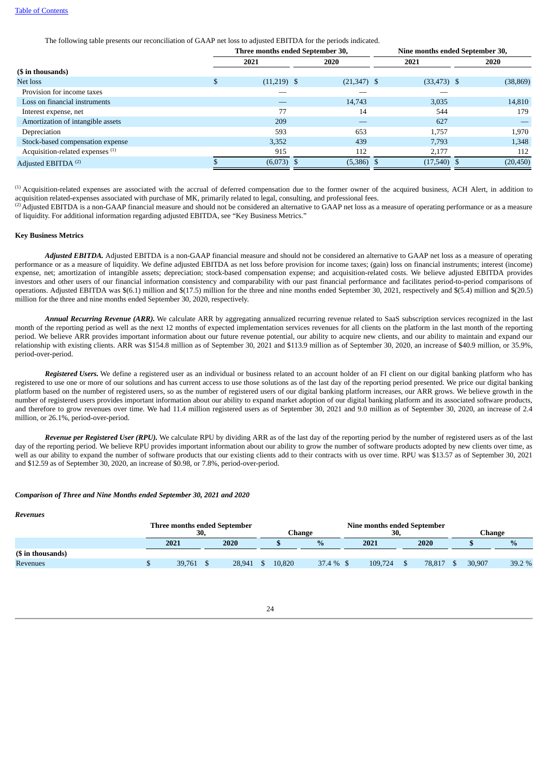The following table presents our reconciliation of GAAP net loss to adjusted EBITDA for the periods indicated.

|                                   |      | Three months ended September 30, |               | Nine months ended September 30, |                |  |           |  |  |
|-----------------------------------|------|----------------------------------|---------------|---------------------------------|----------------|--|-----------|--|--|
|                                   | 2021 |                                  | 2020          | 2021                            |                |  | 2020      |  |  |
| (\$ in thousands)                 |      |                                  |               |                                 |                |  |           |  |  |
| Net loss                          |      | $(11,219)$ \$                    | $(21,347)$ \$ |                                 | $(33, 473)$ \$ |  | (38, 869) |  |  |
| Provision for income taxes        |      |                                  |               |                                 |                |  |           |  |  |
| Loss on financial instruments     |      |                                  | 14,743        |                                 | 3,035          |  | 14,810    |  |  |
| Interest expense, net             |      | 77                               | 14            |                                 | 544            |  | 179       |  |  |
| Amortization of intangible assets |      | 209                              | _             |                                 | 627            |  |           |  |  |
| Depreciation                      |      | 593                              | 653           |                                 | 1,757          |  | 1,970     |  |  |
| Stock-based compensation expense  |      | 3,352                            | 439           |                                 | 7,793          |  | 1,348     |  |  |
| Acquisition-related expenses (1)  |      | 915                              | 112           |                                 | 2,177          |  | 112       |  |  |
| Adjusted EBITDA <sup>(2)</sup>    |      | $(6,073)$ \$                     | $(5,386)$ \$  |                                 | $(17,540)$ \$  |  | (20, 450) |  |  |

 $^{(1)}$  Acquisition-related expenses are associated with the accrual of deferred compensation due to the former owner of the acquired business, ACH Alert, in addition to acquisition related-expenses associated with purchase of MK, primarily related to legal, consulting, and professional fees.

 $^{(2)}$  Adjusted EBITDA is a non-GAAP financial measure and should not be considered an alternative to GAAP net loss as a measure of operating performance or as a measure of liquidity. For additional information regarding adjusted EBITDA, see "Key Business Metrics."

#### **Key Business Metrics**

*Adjusted EBITDA.* Adjusted EBITDA is a non-GAAP financial measure and should not be considered an alternative to GAAP net loss as a measure of operating performance or as a measure of liquidity. We define adjusted EBITDA as net loss before provision for income taxes; (gain) loss on financial instruments; interest (income) expense, net; amortization of intangible assets; depreciation; stock-based compensation expense; and acquisition-related costs. We believe adjusted EBITDA provides investors and other users of our financial information consistency and comparability with our past financial performance and facilitates period-to-period comparisons of operations. Adjusted EBITDA was \$(6.1) million and \$(17.5) million for the three and nine months ended September 30, 2021, respectively and \$(5.4) million and \$(20.5) million for the three and nine months ended September 30, 2020, respectively.

*Annual Recurring Revenue (ARR).* We calculate ARR by aggregating annualized recurring revenue related to SaaS subscription services recognized in the last month of the reporting period as well as the next 12 months of expected implementation services revenues for all clients on the platform in the last month of the reporting period. We believe ARR provides important information about our future revenue potential, our ability to acquire new clients, and our ability to maintain and expand our relationship with existing clients. ARR was \$154.8 million as of September 30, 2021 and \$113.9 million as of September 30, 2020, an increase of \$40.9 million, or 35.9%, period-over-period.

*Registered Users.* We define a registered user as an individual or business related to an account holder of an FI client on our digital banking platform who has registered to use one or more of our solutions and has current access to use those solutions as of the last day of the reporting period presented. We price our digital banking platform based on the number of registered users, so as the number of registered users of our digital banking platform increases, our ARR grows. We believe growth in the number of registered users provides important information about our ability to expand market adoption of our digital banking platform and its associated software products, and therefore to grow revenues over time. We had 11.4 million registered users as of September 30, 2021 and 9.0 million as of September 30, 2020, an increase of 2.4 million, or 26.1%, period-over-period.

*Revenue per Registered User (RPU).* We calculate RPU by dividing ARR as of the last day of the reporting period by the number of registered users as of the last day of the reporting period. We believe RPU provides important information about our ability to grow the number of software products adopted by new clients over time, as well as our ability to expand the number of software products that our existing clients add to their contracts with us over time. RPU was \$13.57 as of September 30, 2021 and \$12.59 as of September 30, 2020, an increase of \$0.98, or 7.8%, period-over-period.

#### *Comparison of Three and Nine Months ended September 30, 2021 and 2020*

| <b>Revenues</b>   |                                     |           |  |      |        |                  |             |  |                                           |  |        |        |        |        |
|-------------------|-------------------------------------|-----------|--|------|--------|------------------|-------------|--|-------------------------------------------|--|--------|--------|--------|--------|
|                   | Three months ended September<br>30. |           |  |      | Change |                  |             |  | <b>Nine months ended September</b><br>30. |  |        | Change |        |        |
|                   |                                     | 2021      |  | 2020 |        |                  | $\%$        |  | 2021                                      |  | 2020   |        |        | $\%$   |
| (\$ in thousands) |                                     |           |  |      |        |                  |             |  |                                           |  |        |        |        |        |
| Revenues          |                                     | 39,761 \$ |  |      |        | 28,941 \$ 10,820 | $37.4\%$ \$ |  | 109,724                                   |  | 78,817 | - S    | 30,907 | 39.2 % |
|                   |                                     |           |  |      |        |                  |             |  |                                           |  |        |        |        |        |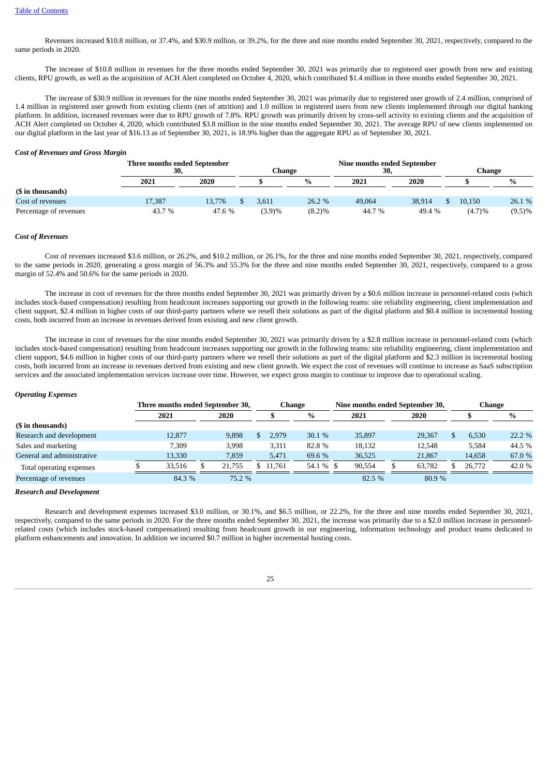Revenues increased \$10.8 million, or 37.4%, and \$30.9 million, or 39.2%, for the three and nine months ended September 30, 2021, respectively, compared to the same periods in 2020.

The increase of \$10.8 million in revenues for the three months ended September 30, 2021 was primarily due to registered user growth from new and existing clients, RPU growth, as well as the acquisition of ACH Alert completed on October 4, 2020, which contributed \$1.4 million in three months ended September 30, 2021.

The increase of \$30.9 million in revenues for the nine months ended September 30, 2021 was primarily due to registered user growth of 2.4 million, comprised of 1.4 million in registered user growth from existing clients (net of attrition) and 1.0 million in registered users from new clients implemented through our digital banking platform. In addition, increased revenues were due to RPU growth of 7.8%. RPU growth was primarily driven by cross-sell activity to existing clients and the acquisition of ACH Alert completed on October 4, 2020, which contributed \$3.8 million in the nine months ended September 30, 2021. The average RPU of new clients implemented on our digital platform in the last year of \$16.13 as of September 30, 2021, is 18.9% higher than the aggregate RPU as of September 30, 2021.

### *Cost of Revenues and Gross Margin*

|                        | Three months ended September<br>30. | Change |        | <b>Nine months ended September</b><br>30, |        |        | Change |        |           |
|------------------------|-------------------------------------|--------|--------|-------------------------------------------|--------|--------|--------|--------|-----------|
|                        | 2021                                | 2020   |        | $\%$                                      | 2021   | 2020   |        |        | $\%$      |
| (\$ in thousands)      |                                     |        |        |                                           |        |        |        |        |           |
| Cost of revenues       | 17.387                              | 13.776 | 3.611  | 26.2 %                                    | 49,064 | 38.914 |        | 10.150 | 26.1 %    |
| Percentage of revenues | 43.7 %                              | 47.6 % | (3.9)% | (8.2)%                                    | 44.7 % | 49.4 % |        | (4.7)% | $(9.5)\%$ |

# *Cost of Revenues*

Cost of revenues increased \$3.6 million, or 26.2%, and \$10.2 million, or 26.1%, for the three and nine months ended September 30, 2021, respectively, compared to the same periods in 2020, generating a gross margin of 56.3% and 55.3% for the three and nine months ended September 30, 2021, respectively, compared to a gross margin of 52.4% and 50.6% for the same periods in 2020.

The increase in cost of revenues for the three months ended September 30, 2021 was primarily driven by a \$0.6 million increase in personnel-related costs (which includes stock-based compensation) resulting from headcount increases supporting our growth in the following teams: site reliability engineering, client implementation and client support, \$2.4 million in higher costs of our third-party partners where we resell their solutions as part of the digital platform and \$0.4 million in incremental hosting costs, both incurred from an increase in revenues derived from existing and new client growth.

The increase in cost of revenues for the nine months ended September 30, 2021 was primarily driven by a \$2.8 million increase in personnel-related costs (which includes stock-based compensation) resulting from headcount increases supporting our growth in the following teams: site reliability engineering, client implementation and client support, \$4.6 million in higher costs of our third-party partners where we resell their solutions as part of the digital platform and \$2.3 million in incremental hosting costs, both incurred from an increase in revenues derived from existing and new client growth. We expect the cost of revenues will continue to increase as SaaS subscription services and the associated implementation services increase over time. However, we expect gross margin to continue to improve due to operational scaling.

#### *Operating Expenses*

|                            |        |  | Three months ended September 30, |  |           | Change |           |      |        | Nine months ended September 30, |        |  | Change |  |        |  |
|----------------------------|--------|--|----------------------------------|--|-----------|--------|-----------|------|--------|---------------------------------|--------|--|--------|--|--------|--|
|                            | 2021   |  | 2020                             |  |           | $\%$   |           | 2021 |        | 2020                            |        |  |        |  | $\%$   |  |
| (\$ in thousands)          |        |  |                                  |  |           |        |           |      |        |                                 |        |  |        |  |        |  |
| Research and development   | 12.877 |  | 9.898                            |  | 2.979     |        | 30.1%     |      | 35.897 |                                 | 29.367 |  | 6,530  |  | 22.2%  |  |
| Sales and marketing        | 7,309  |  | 3.998                            |  | 3,311     |        | 82.8%     |      | 18.132 |                                 | 12.548 |  | 5.584  |  | 44.5 % |  |
| General and administrative | 13.330 |  | 7.859                            |  | 5.471     |        | 69.6 %    |      | 36.525 |                                 | 21,867 |  | 14.658 |  | 67.0 % |  |
| Total operating expenses   | 33.516 |  | 21.755                           |  | \$ 11,761 |        | 54.1 % \$ |      | 90.554 |                                 | 63,782 |  | 26,772 |  | 42.0 % |  |
| Percentage of revenues     | 84.3 % |  | 75.2 %                           |  |           |        |           |      | 82.5 % |                                 | 80.9 % |  |        |  |        |  |

#### *Research and Development*

Research and development expenses increased \$3.0 million, or 30.1%, and \$6.5 million, or 22.2%, for the three and nine months ended September 30, 2021, respectively, compared to the same periods in 2020. For the three months ended September 30, 2021, the increase was primarily due to a \$2.0 million increase in personnelrelated costs (which includes stock-based compensation) resulting from headcount growth in our engineering, information technology and product teams dedicated to platform enhancements and innovation. In addition we incurred \$0.7 million in higher incremental hosting costs.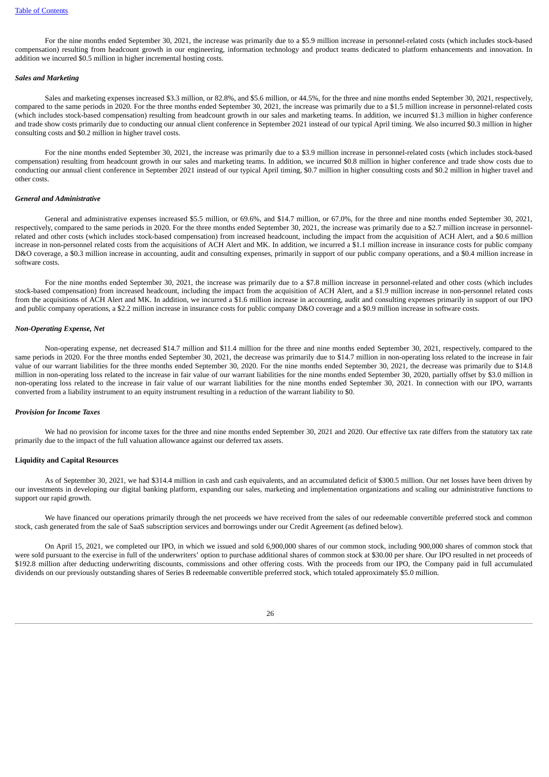For the nine months ended September 30, 2021, the increase was primarily due to a \$5.9 million increase in personnel-related costs (which includes stock-based compensation) resulting from headcount growth in our engineering, information technology and product teams dedicated to platform enhancements and innovation. In addition we incurred \$0.5 million in higher incremental hosting costs.

### *Sales and Marketing*

Sales and marketing expenses increased \$3.3 million, or 82.8%, and \$5.6 million, or 44.5%, for the three and nine months ended September 30, 2021, respectively, compared to the same periods in 2020. For the three months ended September 30, 2021, the increase was primarily due to a \$1.5 million increase in personnel-related costs (which includes stock-based compensation) resulting from headcount growth in our sales and marketing teams. In addition, we incurred \$1.3 million in higher conference and trade show costs primarily due to conducting our annual client conference in September 2021 instead of our typical April timing. We also incurred \$0.3 million in higher consulting costs and \$0.2 million in higher travel costs.

For the nine months ended September 30, 2021, the increase was primarily due to a \$3.9 million increase in personnel-related costs (which includes stock-based compensation) resulting from headcount growth in our sales and marketing teams. In addition, we incurred \$0.8 million in higher conference and trade show costs due to conducting our annual client conference in September 2021 instead of our typical April timing, \$0.7 million in higher consulting costs and \$0.2 million in higher travel and other costs.

#### *General and Administrative*

General and administrative expenses increased \$5.5 million, or 69.6%, and \$14.7 million, or 67.0%, for the three and nine months ended September 30, 2021, respectively, compared to the same periods in 2020. For the three months ended September 30, 2021, the increase was primarily due to a \$2.7 million increase in personnelrelated and other costs (which includes stock-based compensation) from increased headcount, including the impact from the acquisition of ACH Alert, and a \$0.6 million increase in non-personnel related costs from the acquisitions of ACH Alert and MK. In addition, we incurred a \$1.1 million increase in insurance costs for public company D&O coverage, a \$0.3 million increase in accounting, audit and consulting expenses, primarily in support of our public company operations, and a \$0.4 million increase in software costs.

For the nine months ended September 30, 2021, the increase was primarily due to a \$7.8 million increase in personnel-related and other costs (which includes stock-based compensation) from increased headcount, including the impact from the acquisition of ACH Alert, and a \$1.9 million increase in non-personnel related costs from the acquisitions of ACH Alert and MK. In addition, we incurred a \$1.6 million increase in accounting, audit and consulting expenses primarily in support of our IPO and public company operations, a \$2.2 million increase in insurance costs for public company D&O coverage and a \$0.9 million increase in software costs.

# *Non-Operating Expense, Net*

Non-operating expense, net decreased \$14.7 million and \$11.4 million for the three and nine months ended September 30, 2021, respectively, compared to the same periods in 2020. For the three months ended September 30, 2021, the decrease was primarily due to \$14.7 million in non-operating loss related to the increase in fair value of our warrant liabilities for the three months ended September 30, 2020. For the nine months ended September 30, 2021, the decrease was primarily due to \$14.8 million in non-operating loss related to the increase in fair value of our warrant liabilities for the nine months ended September 30, 2020, partially offset by \$3.0 million in non-operating loss related to the increase in fair value of our warrant liabilities for the nine months ended September 30, 2021. In connection with our IPO, warrants converted from a liability instrument to an equity instrument resulting in a reduction of the warrant liability to \$0.

### *Provision for Income Taxes*

We had no provision for income taxes for the three and nine months ended September 30, 2021 and 2020. Our effective tax rate differs from the statutory tax rate primarily due to the impact of the full valuation allowance against our deferred tax assets.

# **Liquidity and Capital Resources**

As of September 30, 2021, we had \$314.4 million in cash and cash equivalents, and an accumulated deficit of \$300.5 million. Our net losses have been driven by our investments in developing our digital banking platform, expanding our sales, marketing and implementation organizations and scaling our administrative functions to support our rapid growth.

We have financed our operations primarily through the net proceeds we have received from the sales of our redeemable convertible preferred stock and common stock, cash generated from the sale of SaaS subscription services and borrowings under our Credit Agreement (as defined below).

On April 15, 2021, we completed our IPO, in which we issued and sold 6,900,000 shares of our common stock, including 900,000 shares of common stock that were sold pursuant to the exercise in full of the underwriters' option to purchase additional shares of common stock at \$30.00 per share. Our IPO resulted in net proceeds of \$192.8 million after deducting underwriting discounts, commissions and other offering costs. With the proceeds from our IPO, the Company paid in full accumulated dividends on our previously outstanding shares of Series B redeemable convertible preferred stock, which totaled approximately \$5.0 million.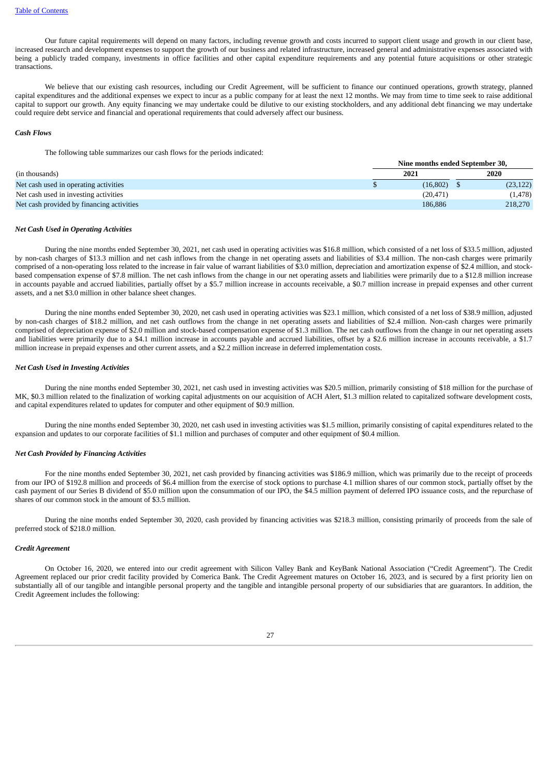Our future capital requirements will depend on many factors, including revenue growth and costs incurred to support client usage and growth in our client base, increased research and development expenses to support the growth of our business and related infrastructure, increased general and administrative expenses associated with being a publicly traded company, investments in office facilities and other capital expenditure requirements and any potential future acquisitions or other strategic transactions.

We believe that our existing cash resources, including our Credit Agreement, will be sufficient to finance our continued operations, growth strategy, planned capital expenditures and the additional expenses we expect to incur as a public company for at least the next 12 months. We may from time to time seek to raise additional capital to support our growth. Any equity financing we may undertake could be dilutive to our existing stockholders, and any additional debt financing we may undertake could require debt service and financial and operational requirements that could adversely affect our business.

# *Cash Flows*

The following table summarizes our cash flows for the periods indicated:

|                                           | Nine months ended September 30, |  |           |  |  |  |  |  |  |
|-------------------------------------------|---------------------------------|--|-----------|--|--|--|--|--|--|
| (in thousands)                            | 2021                            |  | 2020      |  |  |  |  |  |  |
| Net cash used in operating activities     | (16.802)                        |  | (23, 122) |  |  |  |  |  |  |
| Net cash used in investing activities     | (20, 471)                       |  | (1, 478)  |  |  |  |  |  |  |
| Net cash provided by financing activities | 186.886                         |  | 218,270   |  |  |  |  |  |  |

### *Net Cash Used in Operating Activities*

During the nine months ended September 30, 2021, net cash used in operating activities was \$16.8 million, which consisted of a net loss of \$33.5 million, adjusted by non-cash charges of \$13.3 million and net cash inflows from the change in net operating assets and liabilities of \$3.4 million. The non-cash charges were primarily comprised of a non-operating loss related to the increase in fair value of warrant liabilities of \$3.0 million, depreciation and amortization expense of \$2.4 million, and stockbased compensation expense of \$7.8 million. The net cash inflows from the change in our net operating assets and liabilities were primarily due to a \$12.8 million increase in accounts payable and accrued liabilities, partially offset by a \$5.7 million increase in accounts receivable, a \$0.7 million increase in prepaid expenses and other current assets, and a net \$3.0 million in other balance sheet changes.

During the nine months ended September 30, 2020, net cash used in operating activities was \$23.1 million, which consisted of a net loss of \$38.9 million, adjusted by non-cash charges of \$18.2 million, and net cash outflows from the change in net operating assets and liabilities of \$2.4 million. Non-cash charges were primarily comprised of depreciation expense of \$2.0 million and stock-based compensation expense of \$1.3 million. The net cash outflows from the change in our net operating assets and liabilities were primarily due to a \$4.1 million increase in accounts payable and accrued liabilities, offset by a \$2.6 million increase in accounts receivable, a \$1.7 million increase in prepaid expenses and other current assets, and a \$2.2 million increase in deferred implementation costs.

#### *Net Cash Used in Investing Activities*

During the nine months ended September 30, 2021, net cash used in investing activities was \$20.5 million, primarily consisting of \$18 million for the purchase of MK, \$0.3 million related to the finalization of working capital adjustments on our acquisition of ACH Alert, \$1.3 million related to capitalized software development costs, and capital expenditures related to updates for computer and other equipment of \$0.9 million.

During the nine months ended September 30, 2020, net cash used in investing activities was \$1.5 million, primarily consisting of capital expenditures related to the expansion and updates to our corporate facilities of \$1.1 million and purchases of computer and other equipment of \$0.4 million.

# *Net Cash Provided by Financing Activities*

For the nine months ended September 30, 2021, net cash provided by financing activities was \$186.9 million, which was primarily due to the receipt of proceeds from our IPO of \$192.8 million and proceeds of \$6.4 million from the exercise of stock options to purchase 4.1 million shares of our common stock, partially offset by the cash payment of our Series B dividend of \$5.0 million upon the consummation of our IPO, the \$4.5 million payment of deferred IPO issuance costs, and the repurchase of shares of our common stock in the amount of \$3.5 million.

During the nine months ended September 30, 2020, cash provided by financing activities was \$218.3 million, consisting primarily of proceeds from the sale of preferred stock of \$218.0 million.

### *Credit Agreement*

On October 16, 2020, we entered into our credit agreement with Silicon Valley Bank and KeyBank National Association ("Credit Agreement"). The Credit Agreement replaced our prior credit facility provided by Comerica Bank. The Credit Agreement matures on October 16, 2023, and is secured by a first priority lien on substantially all of our tangible and intangible personal property and the tangible and intangible personal property of our subsidiaries that are guarantors. In addition, the Credit Agreement includes the following: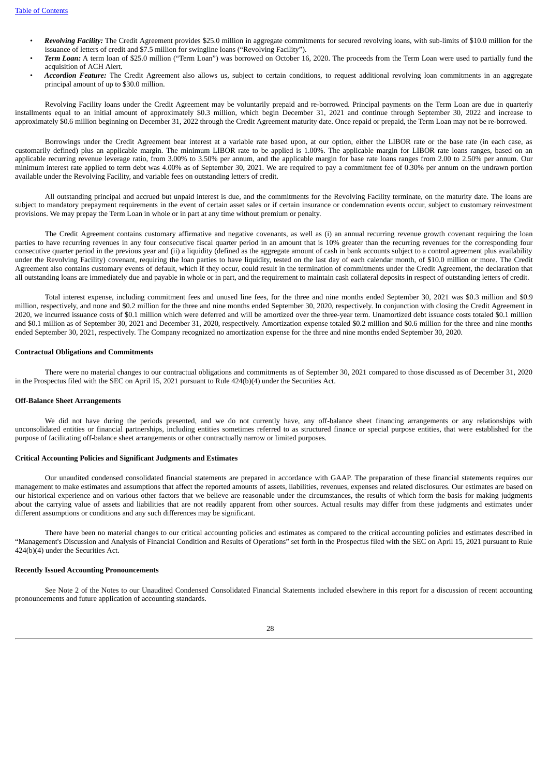- *Revolving Facility:* The Credit Agreement provides \$25.0 million in aggregate commitments for secured revolving loans, with sub-limits of \$10.0 million for the issuance of letters of credit and \$7.5 million for swingline loans ("Revolving Facility").
- *Term Loan:* A term loan of \$25.0 million ("Term Loan") was borrowed on October 16, 2020. The proceeds from the Term Loan were used to partially fund the acquisition of ACH Alert.
- *Accordion Feature:* The Credit Agreement also allows us, subject to certain conditions, to request additional revolving loan commitments in an aggregate principal amount of up to \$30.0 million.

Revolving Facility loans under the Credit Agreement may be voluntarily prepaid and re-borrowed. Principal payments on the Term Loan are due in quarterly installments equal to an initial amount of approximately \$0.3 million, which begin December 31, 2021 and continue through September 30, 2022 and increase to approximately \$0.6 million beginning on December 31, 2022 through the Credit Agreement maturity date. Once repaid or prepaid, the Term Loan may not be re-borrowed.

Borrowings under the Credit Agreement bear interest at a variable rate based upon, at our option, either the LIBOR rate or the base rate (in each case, as customarily defined) plus an applicable margin. The minimum LIBOR rate to be applied is 1.00%. The applicable margin for LIBOR rate loans ranges, based on an applicable recurring revenue leverage ratio, from 3.00% to 3.50% per annum, and the applicable margin for base rate loans ranges from 2.00 to 2.50% per annum. Our minimum interest rate applied to term debt was 4.00% as of September 30, 2021. We are required to pay a commitment fee of 0.30% per annum on the undrawn portion available under the Revolving Facility, and variable fees on outstanding letters of credit.

All outstanding principal and accrued but unpaid interest is due, and the commitments for the Revolving Facility terminate, on the maturity date. The loans are subject to mandatory prepayment requirements in the event of certain asset sales or if certain insurance or condemnation events occur, subject to customary reinvestment provisions. We may prepay the Term Loan in whole or in part at any time without premium or penalty.

The Credit Agreement contains customary affirmative and negative covenants, as well as (i) an annual recurring revenue growth covenant requiring the loan parties to have recurring revenues in any four consecutive fiscal quarter period in an amount that is 10% greater than the recurring revenues for the corresponding four consecutive quarter period in the previous year and (ii) a liquidity (defined as the aggregate amount of cash in bank accounts subject to a control agreement plus availability under the Revolving Facility) covenant, requiring the loan parties to have liquidity, tested on the last day of each calendar month, of \$10.0 million or more. The Credit Agreement also contains customary events of default, which if they occur, could result in the termination of commitments under the Credit Agreement, the declaration that all outstanding loans are immediately due and payable in whole or in part, and the requirement to maintain cash collateral deposits in respect of outstanding letters of credit.

Total interest expense, including commitment fees and unused line fees, for the three and nine months ended September 30, 2021 was \$0.3 million and \$0.9 million, respectively, and none and \$0.2 million for the three and nine months ended September 30, 2020, respectively. In conjunction with closing the Credit Agreement in 2020, we incurred issuance costs of \$0.1 million which were deferred and will be amortized over the three-year term. Unamortized debt issuance costs totaled \$0.1 million and \$0.1 million as of September 30, 2021 and December 31, 2020, respectively. Amortization expense totaled \$0.2 million and \$0.6 million for the three and nine months ended September 30, 2021, respectively. The Company recognized no amortization expense for the three and nine months ended September 30, 2020.

### **Contractual Obligations and Commitments**

There were no material changes to our contractual obligations and commitments as of September 30, 2021 compared to those discussed as of December 31, 2020 in the Prospectus filed with the SEC on April 15, 2021 pursuant to Rule 424(b)(4) under the Securities Act.

#### **Off-Balance Sheet Arrangements**

We did not have during the periods presented, and we do not currently have, any off-balance sheet financing arrangements or any relationships with unconsolidated entities or financial partnerships, including entities sometimes referred to as structured finance or special purpose entities, that were established for the purpose of facilitating off-balance sheet arrangements or other contractually narrow or limited purposes.

# **Critical Accounting Policies and Significant Judgments and Estimates**

Our unaudited condensed consolidated financial statements are prepared in accordance with GAAP. The preparation of these financial statements requires our management to make estimates and assumptions that affect the reported amounts of assets, liabilities, revenues, expenses and related disclosures. Our estimates are based on our historical experience and on various other factors that we believe are reasonable under the circumstances, the results of which form the basis for making judgments about the carrying value of assets and liabilities that are not readily apparent from other sources. Actual results may differ from these judgments and estimates under different assumptions or conditions and any such differences may be significant.

There have been no material changes to our critical accounting policies and estimates as compared to the critical accounting policies and estimates described in "Management's Discussion and Analysis of Financial Condition and Results of Operations" set forth in the Prospectus filed with the SEC on April 15, 2021 pursuant to Rule 424(b)(4) under the Securities Act.

# **Recently Issued Accounting Pronouncements**

See Note 2 of the Notes to our Unaudited Condensed Consolidated Financial Statements included elsewhere in this report for a discussion of recent accounting pronouncements and future application of accounting standards.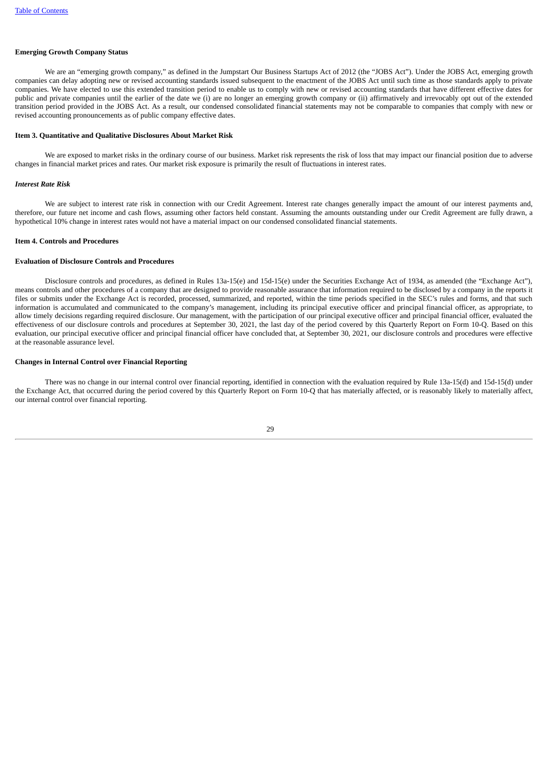# **Emerging Growth Company Status**

We are an "emerging growth company," as defined in the Jumpstart Our Business Startups Act of 2012 (the "JOBS Act"). Under the JOBS Act, emerging growth companies can delay adopting new or revised accounting standards issued subsequent to the enactment of the JOBS Act until such time as those standards apply to private companies. We have elected to use this extended transition period to enable us to comply with new or revised accounting standards that have different effective dates for public and private companies until the earlier of the date we (i) are no longer an emerging growth company or (ii) affirmatively and irrevocably opt out of the extended transition period provided in the JOBS Act. As a result, our condensed consolidated financial statements may not be comparable to companies that comply with new or revised accounting pronouncements as of public company effective dates.

# <span id="page-30-0"></span>**Item 3. Quantitative and Qualitative Disclosures About Market Risk**

We are exposed to market risks in the ordinary course of our business. Market risk represents the risk of loss that may impact our financial position due to adverse changes in financial market prices and rates. Our market risk exposure is primarily the result of fluctuations in interest rates.

### *Interest Rate Risk*

We are subject to interest rate risk in connection with our Credit Agreement. Interest rate changes generally impact the amount of our interest payments and, therefore, our future net income and cash flows, assuming other factors held constant. Assuming the amounts outstanding under our Credit Agreement are fully drawn, a hypothetical 10% change in interest rates would not have a material impact on our condensed consolidated financial statements.

### <span id="page-30-1"></span>**Item 4. Controls and Procedures**

### **Evaluation of Disclosure Controls and Procedures**

Disclosure controls and procedures, as defined in Rules 13a-15(e) and 15d-15(e) under the Securities Exchange Act of 1934, as amended (the "Exchange Act"), means controls and other procedures of a company that are designed to provide reasonable assurance that information required to be disclosed by a company in the reports it files or submits under the Exchange Act is recorded, processed, summarized, and reported, within the time periods specified in the SEC's rules and forms, and that such information is accumulated and communicated to the company's management, including its principal executive officer and principal financial officer, as appropriate, to allow timely decisions regarding required disclosure. Our management, with the participation of our principal executive officer and principal financial officer, evaluated the effectiveness of our disclosure controls and procedures at September 30, 2021, the last day of the period covered by this Quarterly Report on Form 10-Q. Based on this evaluation, our principal executive officer and principal financial officer have concluded that, at September 30, 2021, our disclosure controls and procedures were effective at the reasonable assurance level.

# **Changes in Internal Control over Financial Reporting**

<span id="page-30-2"></span>There was no change in our internal control over financial reporting, identified in connection with the evaluation required by Rule 13a-15(d) and 15d-15(d) under the Exchange Act, that occurred during the period covered by this Quarterly Report on Form 10-Q that has materially affected, or is reasonably likely to materially affect, our internal control over financial reporting.

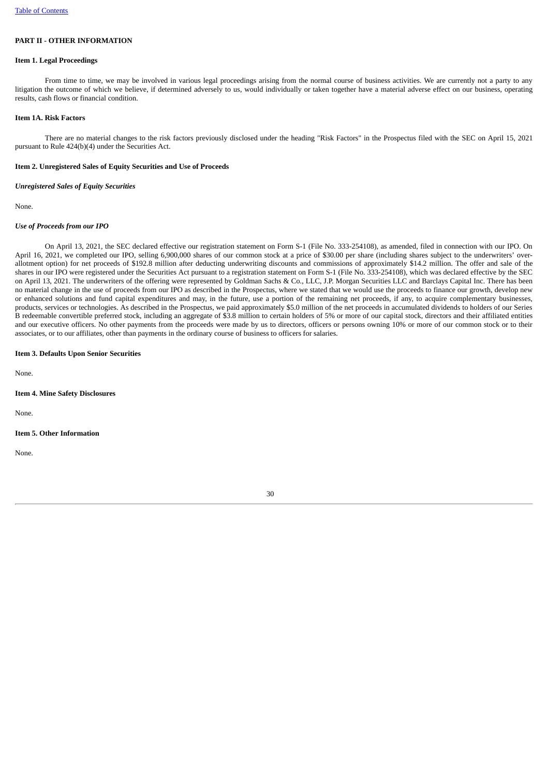# **PART II - OTHER INFORMATION**

# <span id="page-31-0"></span>**Item 1. Legal Proceedings**

From time to time, we may be involved in various legal proceedings arising from the normal course of business activities. We are currently not a party to any litigation the outcome of which we believe, if determined adversely to us, would individually or taken together have a material adverse effect on our business, operating results, cash flows or financial condition.

# <span id="page-31-1"></span>**Item 1A. Risk Factors**

There are no material changes to the risk factors previously disclosed under the heading "Risk Factors" in the Prospectus filed with the SEC on April 15, 2021 pursuant to Rule 424(b)(4) under the Securities Act.

# <span id="page-31-2"></span>**Item 2. Unregistered Sales of Equity Securities and Use of Proceeds**

# *Unregistered Sales of Equity Securities*

None.

# *Use of Proceeds from our IPO*

On April 13, 2021, the SEC declared effective our registration statement on Form S-1 (File No. 333-254108), as amended, filed in connection with our IPO. On April 16, 2021, we completed our IPO, selling 6,900,000 shares of our common stock at a price of \$30.00 per share (including shares subject to the underwriters' overallotment option) for net proceeds of \$192.8 million after deducting underwriting discounts and commissions of approximately \$14.2 million. The offer and sale of the shares in our IPO were registered under the Securities Act pursuant to a registration statement on Form S-1 (File No. 333-254108), which was declared effective by the SEC on April 13, 2021. The underwriters of the offering were represented by Goldman Sachs & Co., LLC, J.P. Morgan Securities LLC and Barclays Capital Inc. There has been no material change in the use of proceeds from our IPO as described in the Prospectus, where we stated that we would use the proceeds to finance our growth, develop new or enhanced solutions and fund capital expenditures and may, in the future, use a portion of the remaining net proceeds, if any, to acquire complementary businesses, products, services or technologies. As described in the Prospectus, we paid approximately \$5.0 million of the net proceeds in accumulated dividends to holders of our Series B redeemable convertible preferred stock, including an aggregate of \$3.8 million to certain holders of 5% or more of our capital stock, directors and their affiliated entities and our executive officers. No other payments from the proceeds were made by us to directors, officers or persons owning 10% or more of our common stock or to their associates, or to our affiliates, other than payments in the ordinary course of business to officers for salaries.

# <span id="page-31-3"></span>**Item 3. Defaults Upon Senior Securities**

None.

<span id="page-31-4"></span>**Item 4. Mine Safety Disclosures**

None.

<span id="page-31-5"></span>**Item 5. Other Information**

<span id="page-31-6"></span>None.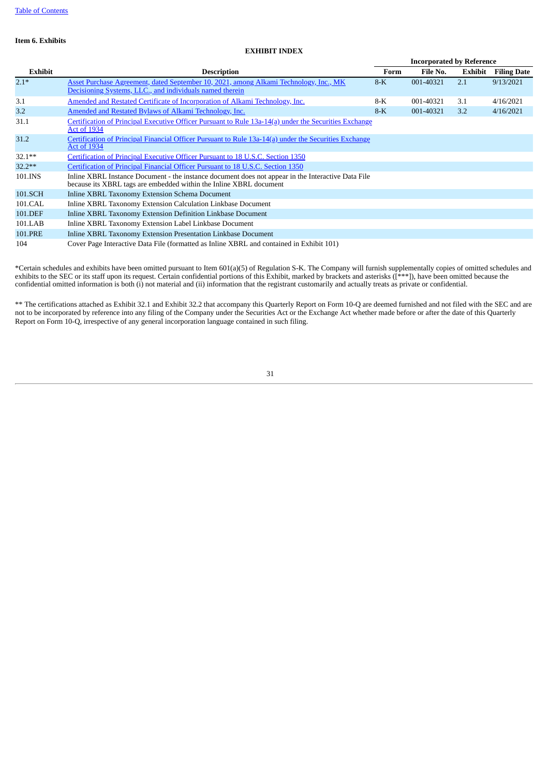# **Item 6. Exhibits**

# **EXHIBIT INDEX**

|                |                                                                                                                                                                          |       | <b>Incorporated by Reference</b> |         |                    |
|----------------|--------------------------------------------------------------------------------------------------------------------------------------------------------------------------|-------|----------------------------------|---------|--------------------|
| <b>Exhibit</b> | <b>Description</b>                                                                                                                                                       | Form  | File No.                         | Exhibit | <b>Filing Date</b> |
| $2.1*$         | Asset Purchase Agreement, dated September 10, 2021, among Alkami Technology, Inc., MK<br>Decisioning Systems, LLC., and individuals named therein                        | $8-K$ | 001-40321                        | 2.1     | 9/13/2021          |
| 3.1            | Amended and Restated Certificate of Incorporation of Alkami Technology, Inc.                                                                                             | $8-K$ | 001-40321                        | 3.1     | 4/16/2021          |
| 3.2            | Amended and Restated Bylaws of Alkami Technology, Inc.                                                                                                                   | $8-K$ | 001-40321                        | 3.2     | 4/16/2021          |
| 31.1           | Certification of Principal Executive Officer Pursuant to Rule 13a-14(a) under the Securities Exchange<br><b>Act of 1934</b>                                              |       |                                  |         |                    |
| 31.2           | Certification of Principal Financial Officer Pursuant to Rule 13a-14(a) under the Securities Exchange<br><b>Act of 1934</b>                                              |       |                                  |         |                    |
| $32.1***$      | Certification of Principal Executive Officer Pursuant to 18 U.S.C. Section 1350                                                                                          |       |                                  |         |                    |
| $32.2**$       | Certification of Principal Financial Officer Pursuant to 18 U.S.C. Section 1350                                                                                          |       |                                  |         |                    |
| 101.INS        | Inline XBRL Instance Document - the instance document does not appear in the Interactive Data File<br>because its XBRL tags are embedded within the Inline XBRL document |       |                                  |         |                    |
| 101.SCH        | Inline XBRL Taxonomy Extension Schema Document                                                                                                                           |       |                                  |         |                    |
| 101.CAL        | Inline XBRL Taxonomy Extension Calculation Linkbase Document                                                                                                             |       |                                  |         |                    |
| 101.DEF        | Inline XBRL Taxonomy Extension Definition Linkbase Document                                                                                                              |       |                                  |         |                    |
| 101.LAB        | Inline XBRL Taxonomy Extension Label Linkbase Document                                                                                                                   |       |                                  |         |                    |
| 101.PRE        | Inline XBRL Taxonomy Extension Presentation Linkbase Document                                                                                                            |       |                                  |         |                    |
| 104            | Cover Page Interactive Data File (formatted as Inline XBRL and contained in Exhibit 101)                                                                                 |       |                                  |         |                    |

\*Certain schedules and exhibits have been omitted pursuant to Item 601(a)(5) of Regulation S-K. The Company will furnish supplementally copies of omitted schedules and exhibits to the SEC or its staff upon its request. Certain confidential portions of this Exhibit, marked by brackets and asterisks ([\*\*\*]), have been omitted because the confidential omitted information is both (i) not material and (ii) information that the registrant customarily and actually treats as private or confidential.

<span id="page-32-0"></span>\*\* The certifications attached as Exhibit 32.1 and Exhibit 32.2 that accompany this Quarterly Report on Form 10-Q are deemed furnished and not filed with the SEC and are not to be incorporated by reference into any filing of the Company under the Securities Act or the Exchange Act whether made before or after the date of this Quarterly Report on Form 10-Q, irrespective of any general incorporation language contained in such filing.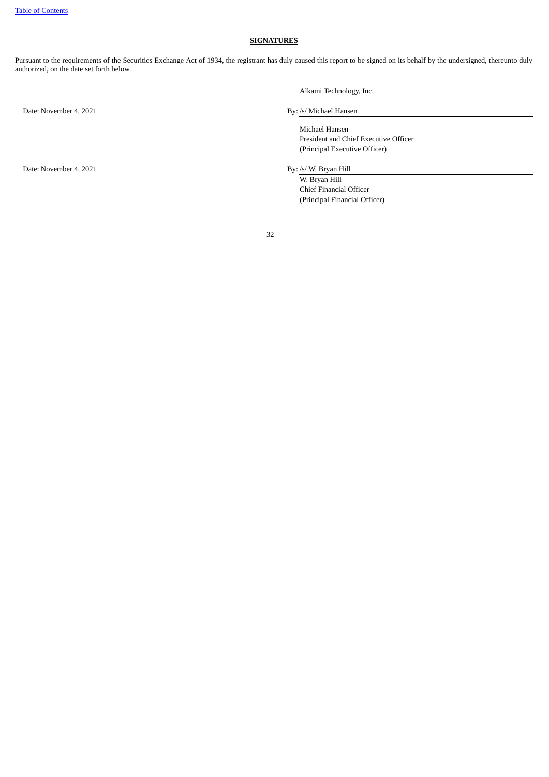# **SIGNATURES**

Pursuant to the requirements of the Securities Exchange Act of 1934, the registrant has duly caused this report to be signed on its behalf by the undersigned, thereunto duly authorized, on the date set forth below.

Date: November 4, 2021 **By:** /s/ Michael Hansen

Date: November 4, 2021 By: /s/ W. Bryan Hill

Alkami Technology, Inc.

Michael Hansen President and Chief Executive Officer (Principal Executive Officer)

W. Bryan Hill Chief Financial Officer (Principal Financial Officer)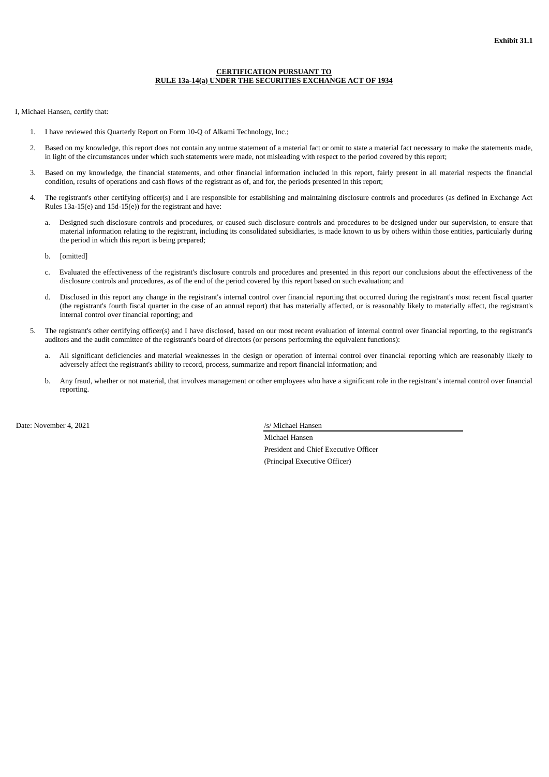# **CERTIFICATION PURSUANT TO RULE 13a-14(a) UNDER THE SECURITIES EXCHANGE ACT OF 1934**

<span id="page-34-0"></span>I, Michael Hansen, certify that:

- 1. I have reviewed this Quarterly Report on Form 10-Q of Alkami Technology, Inc.;
- 2. Based on my knowledge, this report does not contain any untrue statement of a material fact or omit to state a material fact necessary to make the statements made, in light of the circumstances under which such statements were made, not misleading with respect to the period covered by this report;
- 3. Based on my knowledge, the financial statements, and other financial information included in this report, fairly present in all material respects the financial condition, results of operations and cash flows of the registrant as of, and for, the periods presented in this report;
- 4. The registrant's other certifying officer(s) and I are responsible for establishing and maintaining disclosure controls and procedures (as defined in Exchange Act Rules 13a-15(e) and 15d-15(e)) for the registrant and have:
	- a. Designed such disclosure controls and procedures, or caused such disclosure controls and procedures to be designed under our supervision, to ensure that material information relating to the registrant, including its consolidated subsidiaries, is made known to us by others within those entities, particularly during the period in which this report is being prepared;
	- b. [omitted]
	- c. Evaluated the effectiveness of the registrant's disclosure controls and procedures and presented in this report our conclusions about the effectiveness of the disclosure controls and procedures, as of the end of the period covered by this report based on such evaluation; and
	- d. Disclosed in this report any change in the registrant's internal control over financial reporting that occurred during the registrant's most recent fiscal quarter (the registrant's fourth fiscal quarter in the case of an annual report) that has materially affected, or is reasonably likely to materially affect, the registrant's internal control over financial reporting; and
- 5. The registrant's other certifying officer(s) and I have disclosed, based on our most recent evaluation of internal control over financial reporting, to the registrant's auditors and the audit committee of the registrant's board of directors (or persons performing the equivalent functions):
	- a. All significant deficiencies and material weaknesses in the design or operation of internal control over financial reporting which are reasonably likely to adversely affect the registrant's ability to record, process, summarize and report financial information; and
	- b. Any fraud, whether or not material, that involves management or other employees who have a significant role in the registrant's internal control over financial reporting.

Date: November 4, 2021 **/s/** Michael Hansen

Michael Hansen President and Chief Executive Officer (Principal Executive Officer)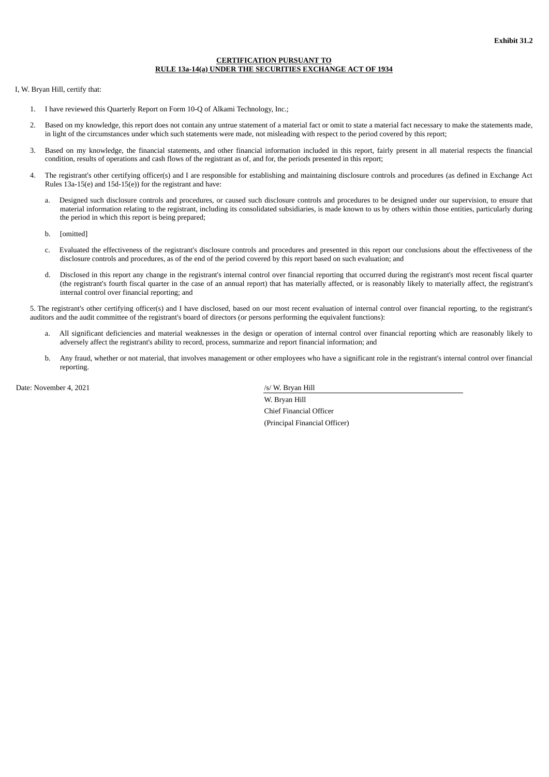# **CERTIFICATION PURSUANT TO RULE 13a-14(a) UNDER THE SECURITIES EXCHANGE ACT OF 1934**

<span id="page-35-0"></span>I, W. Bryan Hill, certify that:

- 1. I have reviewed this Quarterly Report on Form 10-Q of Alkami Technology, Inc.;
- 2. Based on my knowledge, this report does not contain any untrue statement of a material fact or omit to state a material fact necessary to make the statements made, in light of the circumstances under which such statements were made, not misleading with respect to the period covered by this report;
- 3. Based on my knowledge, the financial statements, and other financial information included in this report, fairly present in all material respects the financial condition, results of operations and cash flows of the registrant as of, and for, the periods presented in this report;
- 4. The registrant's other certifying officer(s) and I are responsible for establishing and maintaining disclosure controls and procedures (as defined in Exchange Act Rules 13a-15(e) and 15d-15(e)) for the registrant and have:
	- a. Designed such disclosure controls and procedures, or caused such disclosure controls and procedures to be designed under our supervision, to ensure that material information relating to the registrant, including its consolidated subsidiaries, is made known to us by others within those entities, particularly during the period in which this report is being prepared;
	- b. [omitted]
	- c. Evaluated the effectiveness of the registrant's disclosure controls and procedures and presented in this report our conclusions about the effectiveness of the disclosure controls and procedures, as of the end of the period covered by this report based on such evaluation; and
	- d. Disclosed in this report any change in the registrant's internal control over financial reporting that occurred during the registrant's most recent fiscal quarter (the registrant's fourth fiscal quarter in the case of an annual report) that has materially affected, or is reasonably likely to materially affect, the registrant's internal control over financial reporting; and

5. The registrant's other certifying officer(s) and I have disclosed, based on our most recent evaluation of internal control over financial reporting, to the registrant's auditors and the audit committee of the registrant's board of directors (or persons performing the equivalent functions):

- All significant deficiencies and material weaknesses in the design or operation of internal control over financial reporting which are reasonably likely to adversely affect the registrant's ability to record, process, summarize and report financial information; and
- b. Any fraud, whether or not material, that involves management or other employees who have a significant role in the registrant's internal control over financial reporting.

Date: November 4, 2021 /s/ W. Bryan Hill

W. Bryan Hill

Chief Financial Officer (Principal Financial Officer)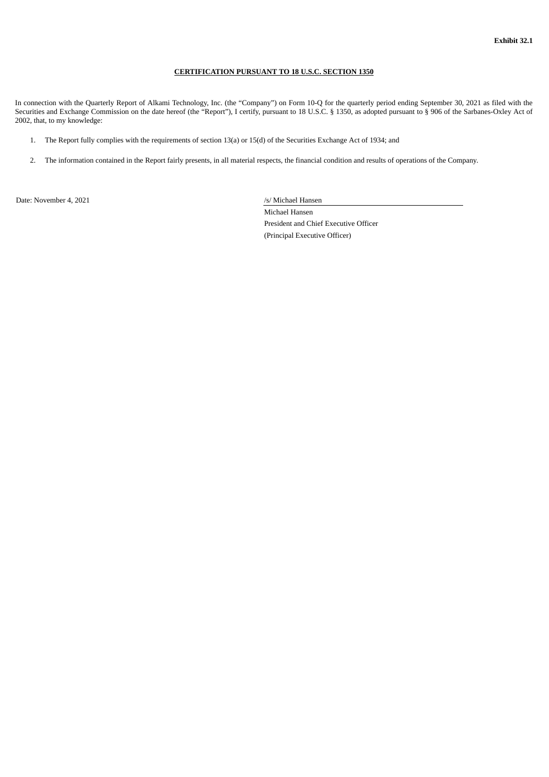# **CERTIFICATION PURSUANT TO 18 U.S.C. SECTION 1350**

<span id="page-36-0"></span>In connection with the Quarterly Report of Alkami Technology, Inc. (the "Company") on Form 10-Q for the quarterly period ending September 30, 2021 as filed with the Securities and Exchange Commission on the date hereof (the "Report"), I certify, pursuant to 18 U.S.C. § 1350, as adopted pursuant to § 906 of the Sarbanes-Oxley Act of 2002, that, to my knowledge:

- 1. The Report fully complies with the requirements of section 13(a) or 15(d) of the Securities Exchange Act of 1934; and
- 2. The information contained in the Report fairly presents, in all material respects, the financial condition and results of operations of the Company.

Date: November 4, 2021 /s/ Michael Hansen

Michael Hansen

President and Chief Executive Officer (Principal Executive Officer)